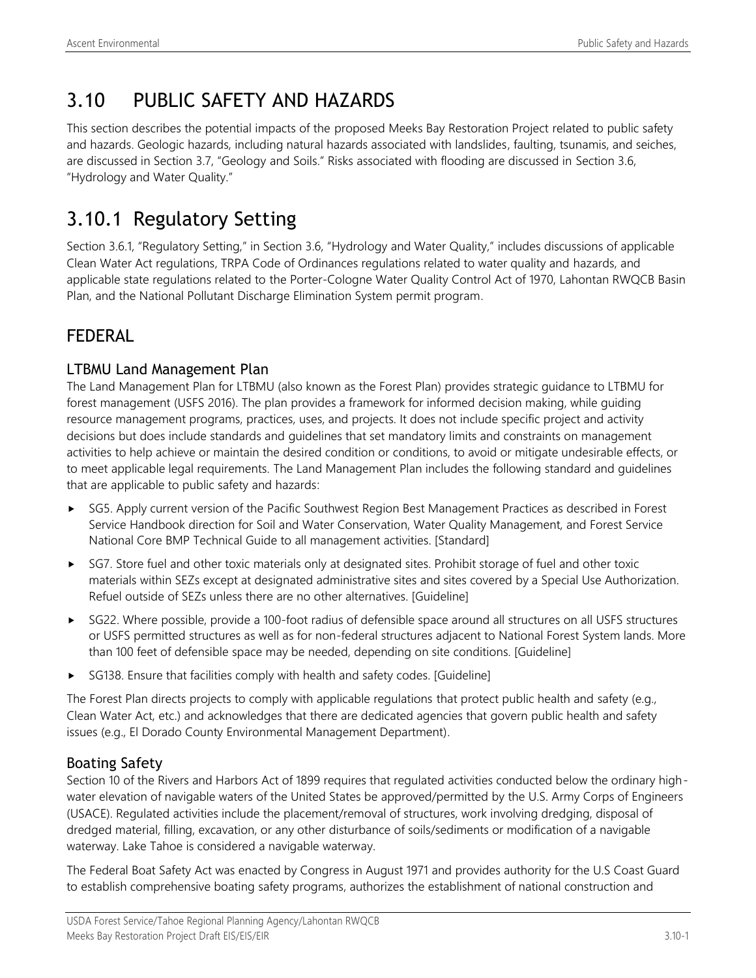# 3.10 PUBLIC SAFETY AND HAZARDS

This section describes the potential impacts of the proposed Meeks Bay Restoration Project related to public safety and hazards. Geologic hazards, including natural hazards associated with landslides, faulting, tsunamis, and seiches, are discussed in Section 3.7, "Geology and Soils." Risks associated with flooding are discussed in Section 3.6, "Hydrology and Water Quality."

# 3.10.1 Regulatory Setting

Section 3.6.1, "Regulatory Setting," in Section 3.6, "Hydrology and Water Quality," includes discussions of applicable Clean Water Act regulations, TRPA Code of Ordinances regulations related to water quality and hazards, and applicable state regulations related to the Porter-Cologne Water Quality Control Act of 1970, Lahontan RWQCB Basin Plan, and the National Pollutant Discharge Elimination System permit program.

## FEDERAL

## LTBMU Land Management Plan

The Land Management Plan for LTBMU (also known as the Forest Plan) provides strategic guidance to LTBMU for forest management (USFS 2016). The plan provides a framework for informed decision making, while guiding resource management programs, practices, uses, and projects. It does not include specific project and activity decisions but does include standards and guidelines that set mandatory limits and constraints on management activities to help achieve or maintain the desired condition or conditions, to avoid or mitigate undesirable effects, or to meet applicable legal requirements. The Land Management Plan includes the following standard and guidelines that are applicable to public safety and hazards:

- SG5. Apply current version of the Pacific Southwest Region Best Management Practices as described in Forest Service Handbook direction for Soil and Water Conservation, Water Quality Management, and Forest Service National Core BMP Technical Guide to all management activities. [Standard]
- ► SG7. Store fuel and other toxic materials only at designated sites. Prohibit storage of fuel and other toxic materials within SEZs except at designated administrative sites and sites covered by a Special Use Authorization. Refuel outside of SEZs unless there are no other alternatives. [Guideline]
- SG22. Where possible, provide a 100-foot radius of defensible space around all structures on all USFS structures or USFS permitted structures as well as for non-federal structures adjacent to National Forest System lands. More than 100 feet of defensible space may be needed, depending on site conditions. [Guideline]
- SG138. Ensure that facilities comply with health and safety codes. [Guideline]

The Forest Plan directs projects to comply with applicable regulations that protect public health and safety (e.g., Clean Water Act, etc.) and acknowledges that there are dedicated agencies that govern public health and safety issues (e.g., El Dorado County Environmental Management Department).

## Boating Safety

Section 10 of the Rivers and Harbors Act of 1899 requires that regulated activities conducted below the ordinary highwater elevation of navigable waters of the United States be approved/permitted by the U.S. Army Corps of Engineers (USACE). Regulated activities include the placement/removal of structures, work involving dredging, disposal of dredged material, filling, excavation, or any other disturbance of soils/sediments or modification of a navigable waterway. Lake Tahoe is considered a navigable waterway.

The Federal Boat Safety Act was enacted by Congress in August 1971 and provides authority for the U.S Coast Guard to establish comprehensive boating safety programs, authorizes the establishment of national construction and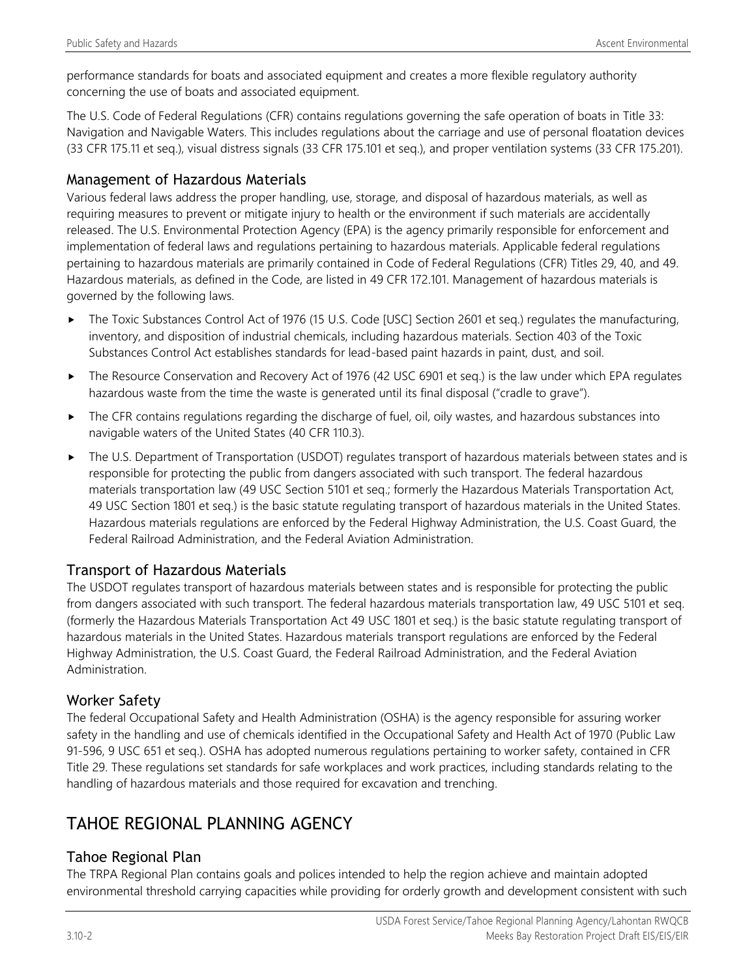performance standards for boats and associated equipment and creates a more flexible regulatory authority concerning the use of boats and associated equipment.

The U.S. Code of Federal Regulations (CFR) contains regulations governing the safe operation of boats in Title 33: Navigation and Navigable Waters. This includes regulations about the carriage and use of personal floatation devices (33 CFR 175.11 et seq.), visual distress signals (33 CFR 175.101 et seq.), and proper ventilation systems (33 CFR 175.201).

## Management of Hazardous Materials

Various federal laws address the proper handling, use, storage, and disposal of hazardous materials, as well as requiring measures to prevent or mitigate injury to health or the environment if such materials are accidentally released. The U.S. Environmental Protection Agency (EPA) is the agency primarily responsible for enforcement and implementation of federal laws and regulations pertaining to hazardous materials. Applicable federal regulations pertaining to hazardous materials are primarily contained in Code of Federal Regulations (CFR) Titles 29, 40, and 49. Hazardous materials, as defined in the Code, are listed in 49 CFR 172.101. Management of hazardous materials is governed by the following laws.

- ▶ The Toxic Substances Control Act of 1976 (15 U.S. Code [USC] Section 2601 et seq.) regulates the manufacturing, inventory, and disposition of industrial chemicals, including hazardous materials. Section 403 of the Toxic Substances Control Act establishes standards for lead-based paint hazards in paint, dust, and soil.
- ▶ The Resource Conservation and Recovery Act of 1976 (42 USC 6901 et seq.) is the law under which EPA regulates hazardous waste from the time the waste is generated until its final disposal ("cradle to grave").
- The CFR contains regulations regarding the discharge of fuel, oil, oily wastes, and hazardous substances into navigable waters of the United States (40 CFR 110.3).
- ▶ The U.S. Department of Transportation (USDOT) regulates transport of hazardous materials between states and is responsible for protecting the public from dangers associated with such transport. The federal hazardous materials transportation law (49 USC Section 5101 et seq.; formerly the Hazardous Materials Transportation Act, 49 USC Section 1801 et seq.) is the basic statute regulating transport of hazardous materials in the United States. Hazardous materials regulations are enforced by the Federal Highway Administration, the U.S. Coast Guard, the Federal Railroad Administration, and the Federal Aviation Administration.

## Transport of Hazardous Materials

The USDOT regulates transport of hazardous materials between states and is responsible for protecting the public from dangers associated with such transport. The federal hazardous materials transportation law, 49 USC 5101 et seq. (formerly the Hazardous Materials Transportation Act 49 USC 1801 et seq.) is the basic statute regulating transport of hazardous materials in the United States. Hazardous materials transport regulations are enforced by the Federal Highway Administration, the U.S. Coast Guard, the Federal Railroad Administration, and the Federal Aviation Administration.

## Worker Safety

The federal Occupational Safety and Health Administration (OSHA) is the agency responsible for assuring worker safety in the handling and use of chemicals identified in the Occupational Safety and Health Act of 1970 (Public Law 91-596, 9 USC 651 et seq.). OSHA has adopted numerous regulations pertaining to worker safety, contained in CFR Title 29. These regulations set standards for safe workplaces and work practices, including standards relating to the handling of hazardous materials and those required for excavation and trenching.

# TAHOE REGIONAL PLANNING AGENCY

## Tahoe Regional Plan

The TRPA Regional Plan contains goals and polices intended to help the region achieve and maintain adopted environmental threshold carrying capacities while providing for orderly growth and development consistent with such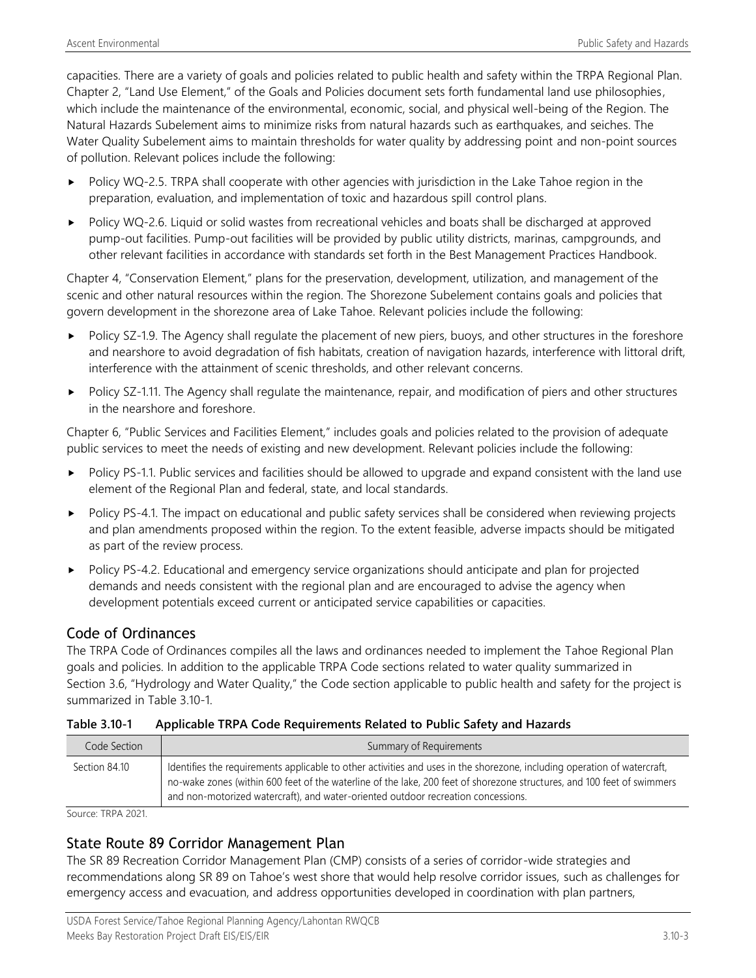capacities. There are a variety of goals and policies related to public health and safety within the TRPA Regional Plan. Chapter 2, "Land Use Element," of the Goals and Policies document sets forth fundamental land use philosophies, which include the maintenance of the environmental, economic, social, and physical well-being of the Region. The Natural Hazards Subelement aims to minimize risks from natural hazards such as earthquakes, and seiches. The Water Quality Subelement aims to maintain thresholds for water quality by addressing point and non-point sources of pollution. Relevant polices include the following:

- Policy WQ-2.5. TRPA shall cooperate with other agencies with jurisdiction in the Lake Tahoe region in the preparation, evaluation, and implementation of toxic and hazardous spill control plans.
- Policy WQ-2.6. Liquid or solid wastes from recreational vehicles and boats shall be discharged at approved pump-out facilities. Pump-out facilities will be provided by public utility districts, marinas, campgrounds, and other relevant facilities in accordance with standards set forth in the Best Management Practices Handbook.

Chapter 4, "Conservation Element," plans for the preservation, development, utilization, and management of the scenic and other natural resources within the region. The Shorezone Subelement contains goals and policies that govern development in the shorezone area of Lake Tahoe. Relevant policies include the following:

- Policy SZ-1.9. The Agency shall regulate the placement of new piers, buoys, and other structures in the foreshore and nearshore to avoid degradation of fish habitats, creation of navigation hazards, interference with littoral drift, interference with the attainment of scenic thresholds, and other relevant concerns.
- Policy SZ-1.11. The Agency shall regulate the maintenance, repair, and modification of piers and other structures in the nearshore and foreshore.

Chapter 6, "Public Services and Facilities Element," includes goals and policies related to the provision of adequate public services to meet the needs of existing and new development. Relevant policies include the following:

- Policy PS-1.1. Public services and facilities should be allowed to upgrade and expand consistent with the land use element of the Regional Plan and federal, state, and local standards.
- Policy PS-4.1. The impact on educational and public safety services shall be considered when reviewing projects and plan amendments proposed within the region. To the extent feasible, adverse impacts should be mitigated as part of the review process.
- Policy PS-4.2. Educational and emergency service organizations should anticipate and plan for projected demands and needs consistent with the regional plan and are encouraged to advise the agency when development potentials exceed current or anticipated service capabilities or capacities.

## Code of Ordinances

The TRPA Code of Ordinances compiles all the laws and ordinances needed to implement the Tahoe Regional Plan goals and policies. In addition to the applicable TRPA Code sections related to water quality summarized in Section 3.6, "Hydrology and Water Quality," the Code section applicable to public health and safety for the project is summarized in Table 3.10-1.

#### **Table 3.10-1 Applicable TRPA Code Requirements Related to Public Safety and Hazards**

| Code Section  | Summary of Requirements                                                                                                                                                                                                                                                                                                                  |
|---------------|------------------------------------------------------------------------------------------------------------------------------------------------------------------------------------------------------------------------------------------------------------------------------------------------------------------------------------------|
| Section 84.10 | Identifies the requirements applicable to other activities and uses in the shorezone, including operation of watercraft,<br>no-wake zones (within 600 feet of the waterline of the lake, 200 feet of shorezone structures, and 100 feet of swimmers<br>and non-motorized watercraft), and water-oriented outdoor recreation concessions. |

Source: TRPA 2021.

## State Route 89 Corridor Management Plan

The SR 89 Recreation Corridor Management Plan (CMP) consists of a series of corridor-wide strategies and recommendations along SR 89 on Tahoe's west shore that would help resolve corridor issues, such as challenges for emergency access and evacuation, and address opportunities developed in coordination with plan partners,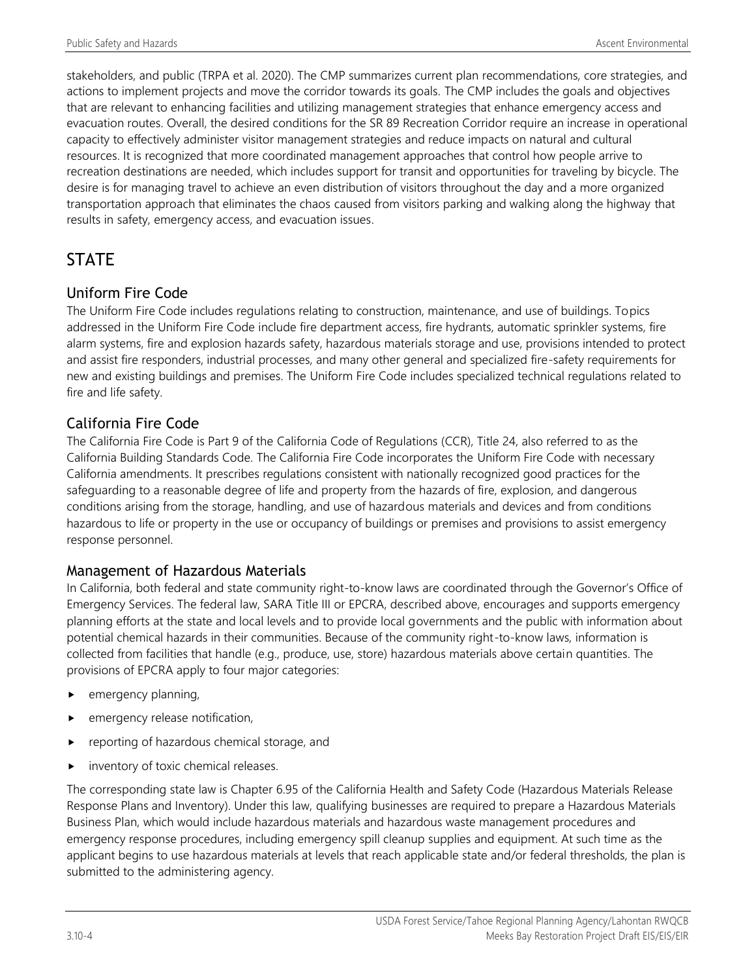stakeholders, and public (TRPA et al. 2020). The CMP summarizes current plan recommendations, core strategies, and actions to implement projects and move the corridor towards its goals. The CMP includes the goals and objectives that are relevant to enhancing facilities and utilizing management strategies that enhance emergency access and evacuation routes. Overall, the desired conditions for the SR 89 Recreation Corridor require an increase in operational capacity to effectively administer visitor management strategies and reduce impacts on natural and cultural resources. It is recognized that more coordinated management approaches that control how people arrive to recreation destinations are needed, which includes support for transit and opportunities for traveling by bicycle. The desire is for managing travel to achieve an even distribution of visitors throughout the day and a more organized transportation approach that eliminates the chaos caused from visitors parking and walking along the highway that results in safety, emergency access, and evacuation issues.

# **STATE**

## Uniform Fire Code

The Uniform Fire Code includes regulations relating to construction, maintenance, and use of buildings. Topics addressed in the Uniform Fire Code include fire department access, fire hydrants, automatic sprinkler systems, fire alarm systems, fire and explosion hazards safety, hazardous materials storage and use, provisions intended to protect and assist fire responders, industrial processes, and many other general and specialized fire-safety requirements for new and existing buildings and premises. The Uniform Fire Code includes specialized technical regulations related to fire and life safety.

## California Fire Code

The California Fire Code is Part 9 of the California Code of Regulations (CCR), Title 24, also referred to as the California Building Standards Code. The California Fire Code incorporates the Uniform Fire Code with necessary California amendments. It prescribes regulations consistent with nationally recognized good practices for the safeguarding to a reasonable degree of life and property from the hazards of fire, explosion, and dangerous conditions arising from the storage, handling, and use of hazardous materials and devices and from conditions hazardous to life or property in the use or occupancy of buildings or premises and provisions to assist emergency response personnel.

## Management of Hazardous Materials

In California, both federal and state community right-to-know laws are coordinated through the Governor's Office of Emergency Services. The federal law, SARA Title III or EPCRA, described above, encourages and supports emergency planning efforts at the state and local levels and to provide local governments and the public with information about potential chemical hazards in their communities. Because of the community right-to-know laws, information is collected from facilities that handle (e.g., produce, use, store) hazardous materials above certain quantities. The provisions of EPCRA apply to four major categories:

- emergency planning,
- emergency release notification,
- reporting of hazardous chemical storage, and
- inventory of toxic chemical releases.

The corresponding state law is Chapter 6.95 of the California Health and Safety Code (Hazardous Materials Release Response Plans and Inventory). Under this law, qualifying businesses are required to prepare a Hazardous Materials Business Plan, which would include hazardous materials and hazardous waste management procedures and emergency response procedures, including emergency spill cleanup supplies and equipment. At such time as the applicant begins to use hazardous materials at levels that reach applicable state and/or federal thresholds, the plan is submitted to the administering agency.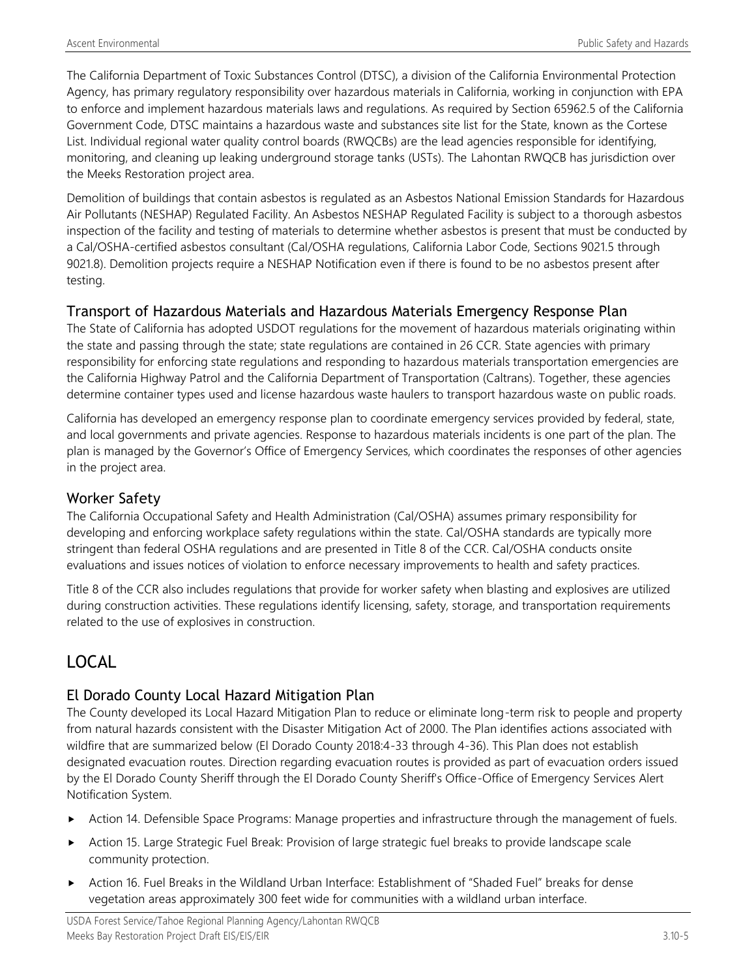The California Department of Toxic Substances Control (DTSC), a division of the California Environmental Protection Agency, has primary regulatory responsibility over hazardous materials in California, working in conjunction with EPA to enforce and implement hazardous materials laws and regulations. As required by Section 65962.5 of the California Government Code, DTSC maintains a hazardous waste and substances site list for the State, known as the Cortese List. Individual regional water quality control boards (RWQCBs) are the lead agencies responsible for identifying, monitoring, and cleaning up leaking underground storage tanks (USTs). The Lahontan RWQCB has jurisdiction over the Meeks Restoration project area.

Demolition of buildings that contain asbestos is regulated as an Asbestos National Emission Standards for Hazardous Air Pollutants (NESHAP) Regulated Facility. An Asbestos NESHAP Regulated Facility is subject to a thorough asbestos inspection of the facility and testing of materials to determine whether asbestos is present that must be conducted by a Cal/OSHA-certified asbestos consultant (Cal/OSHA regulations, California Labor Code, Sections 9021.5 through 9021.8). Demolition projects require a NESHAP Notification even if there is found to be no asbestos present after testing.

## Transport of Hazardous Materials and Hazardous Materials Emergency Response Plan

The State of California has adopted USDOT regulations for the movement of hazardous materials originating within the state and passing through the state; state regulations are contained in 26 CCR. State agencies with primary responsibility for enforcing state regulations and responding to hazardous materials transportation emergencies are the California Highway Patrol and the California Department of Transportation (Caltrans). Together, these agencies determine container types used and license hazardous waste haulers to transport hazardous waste on public roads.

California has developed an emergency response plan to coordinate emergency services provided by federal, state, and local governments and private agencies. Response to hazardous materials incidents is one part of the plan. The plan is managed by the Governor's Office of Emergency Services, which coordinates the responses of other agencies in the project area.

## Worker Safety

The California Occupational Safety and Health Administration (Cal/OSHA) assumes primary responsibility for developing and enforcing workplace safety regulations within the state. Cal/OSHA standards are typically more stringent than federal OSHA regulations and are presented in Title 8 of the CCR. Cal/OSHA conducts onsite evaluations and issues notices of violation to enforce necessary improvements to health and safety practices.

Title 8 of the CCR also includes regulations that provide for worker safety when blasting and explosives are utilized during construction activities. These regulations identify licensing, safety, storage, and transportation requirements related to the use of explosives in construction.

# LOCAL

## El Dorado County Local Hazard Mitigation Plan

The County developed its Local Hazard Mitigation Plan to reduce or eliminate long-term risk to people and property from natural hazards consistent with the Disaster Mitigation Act of 2000. The Plan identifies actions associated with wildfire that are summarized below (El Dorado County 2018:4-33 through 4-36). This Plan does not establish designated evacuation routes. Direction regarding evacuation routes is provided as part of evacuation orders issued by the El Dorado County Sheriff through the El Dorado County Sheriff's Office-Office of Emergency Services Alert Notification System.

- Action 14. Defensible Space Programs: Manage properties and infrastructure through the management of fuels.
- Action 15. Large Strategic Fuel Break: Provision of large strategic fuel breaks to provide landscape scale community protection.
- Action 16. Fuel Breaks in the Wildland Urban Interface: Establishment of "Shaded Fuel" breaks for dense vegetation areas approximately 300 feet wide for communities with a wildland urban interface.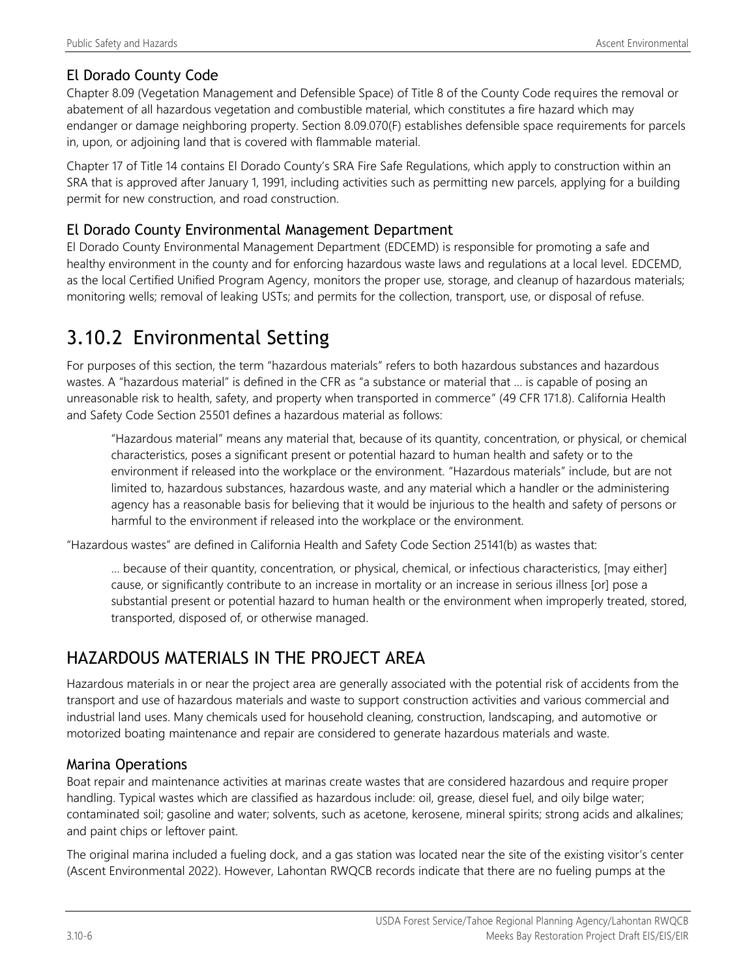## El Dorado County Code

Chapter 8.09 (Vegetation Management and Defensible Space) of Title 8 of the County Code requires the removal or abatement of all hazardous vegetation and combustible material, which constitutes a fire hazard which may endanger or damage neighboring property. Section 8.09.070(F) establishes defensible space requirements for parcels in, upon, or adjoining land that is covered with flammable material.

Chapter 17 of Title 14 contains El Dorado County's SRA Fire Safe Regulations, which apply to construction within an SRA that is approved after January 1, 1991, including activities such as permitting new parcels, applying for a building permit for new construction, and road construction.

## El Dorado County Environmental Management Department

El Dorado County Environmental Management Department (EDCEMD) is responsible for promoting a safe and healthy environment in the county and for enforcing hazardous waste laws and regulations at a local level. EDCEMD, as the local Certified Unified Program Agency, monitors the proper use, storage, and cleanup of hazardous materials; monitoring wells; removal of leaking USTs; and permits for the collection, transport, use, or disposal of refuse.

# 3.10.2 Environmental Setting

For purposes of this section, the term "hazardous materials" refers to both hazardous substances and hazardous wastes. A "hazardous material" is defined in the CFR as "a substance or material that … is capable of posing an unreasonable risk to health, safety, and property when transported in commerce" (49 CFR 171.8). California Health and Safety Code Section 25501 defines a hazardous material as follows:

"Hazardous material" means any material that, because of its quantity, concentration, or physical, or chemical characteristics, poses a significant present or potential hazard to human health and safety or to the environment if released into the workplace or the environment. "Hazardous materials" include, but are not limited to, hazardous substances, hazardous waste, and any material which a handler or the administering agency has a reasonable basis for believing that it would be injurious to the health and safety of persons or harmful to the environment if released into the workplace or the environment.

"Hazardous wastes" are defined in California Health and Safety Code Section 25141(b) as wastes that:

… because of their quantity, concentration, or physical, chemical, or infectious characteristics, [may either] cause, or significantly contribute to an increase in mortality or an increase in serious illness [or] pose a substantial present or potential hazard to human health or the environment when improperly treated, stored, transported, disposed of, or otherwise managed.

# HAZARDOUS MATERIALS IN THE PROJECT AREA

Hazardous materials in or near the project area are generally associated with the potential risk of accidents from the transport and use of hazardous materials and waste to support construction activities and various commercial and industrial land uses. Many chemicals used for household cleaning, construction, landscaping, and automotive or motorized boating maintenance and repair are considered to generate hazardous materials and waste.

## Marina Operations

Boat repair and maintenance activities at marinas create wastes that are considered hazardous and require proper handling. Typical wastes which are classified as hazardous include: oil, grease, diesel fuel, and oily bilge water; contaminated soil; gasoline and water; solvents, such as acetone, kerosene, mineral spirits; strong acids and alkalines; and paint chips or leftover paint.

The original marina included a fueling dock, and a gas station was located near the site of the existing visitor's center (Ascent Environmental 2022). However, Lahontan RWQCB records indicate that there are no fueling pumps at the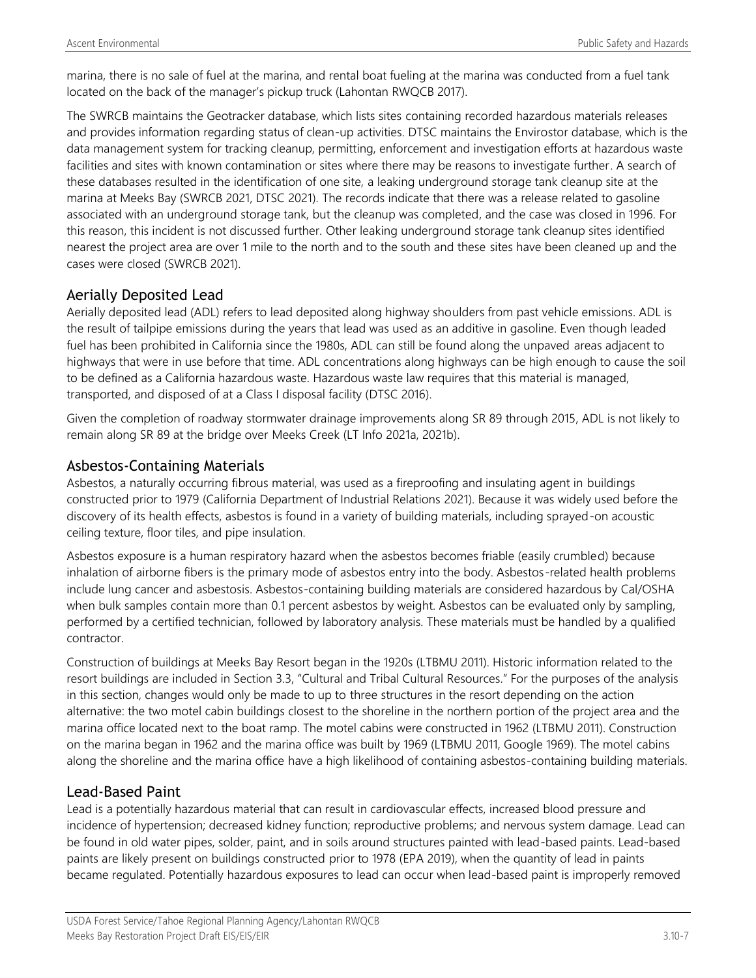marina, there is no sale of fuel at the marina, and rental boat fueling at the marina was conducted from a fuel tank located on the back of the manager's pickup truck (Lahontan RWQCB 2017).

The SWRCB maintains the Geotracker database, which lists sites containing recorded hazardous materials releases and provides information regarding status of clean-up activities. DTSC maintains the Envirostor database, which is the data management system for tracking cleanup, permitting, enforcement and investigation efforts at hazardous waste facilities and sites with known contamination or sites where there may be reasons to investigate further. A search of these databases resulted in the identification of one site, a leaking underground storage tank cleanup site at the marina at Meeks Bay (SWRCB 2021, DTSC 2021). The records indicate that there was a release related to gasoline associated with an underground storage tank, but the cleanup was completed, and the case was closed in 1996. For this reason, this incident is not discussed further. Other leaking underground storage tank cleanup sites identified nearest the project area are over 1 mile to the north and to the south and these sites have been cleaned up and the cases were closed (SWRCB 2021).

## Aerially Deposited Lead

Aerially deposited lead (ADL) refers to lead deposited along highway shoulders from past vehicle emissions. ADL is the result of tailpipe emissions during the years that lead was used as an additive in gasoline. Even though leaded fuel has been prohibited in California since the 1980s, ADL can still be found along the unpaved areas adjacent to highways that were in use before that time. ADL concentrations along highways can be high enough to cause the soil to be defined as a California hazardous waste. Hazardous waste law requires that this material is managed, transported, and disposed of at a Class I disposal facility (DTSC 2016).

Given the completion of roadway stormwater drainage improvements along SR 89 through 2015, ADL is not likely to remain along SR 89 at the bridge over Meeks Creek (LT Info 2021a, 2021b).

## Asbestos-Containing Materials

Asbestos, a naturally occurring fibrous material, was used as a fireproofing and insulating agent in buildings constructed prior to 1979 (California Department of Industrial Relations 2021). Because it was widely used before the discovery of its health effects, asbestos is found in a variety of building materials, including sprayed-on acoustic ceiling texture, floor tiles, and pipe insulation.

Asbestos exposure is a human respiratory hazard when the asbestos becomes friable (easily crumbled) because inhalation of airborne fibers is the primary mode of asbestos entry into the body. Asbestos-related health problems include lung cancer and asbestosis. Asbestos-containing building materials are considered hazardous by Cal/OSHA when bulk samples contain more than 0.1 percent asbestos by weight. Asbestos can be evaluated only by sampling, performed by a certified technician, followed by laboratory analysis. These materials must be handled by a qualified contractor.

Construction of buildings at Meeks Bay Resort began in the 1920s (LTBMU 2011). Historic information related to the resort buildings are included in Section 3.3, "Cultural and Tribal Cultural Resources." For the purposes of the analysis in this section, changes would only be made to up to three structures in the resort depending on the action alternative: the two motel cabin buildings closest to the shoreline in the northern portion of the project area and the marina office located next to the boat ramp. The motel cabins were constructed in 1962 (LTBMU 2011). Construction on the marina began in 1962 and the marina office was built by 1969 (LTBMU 2011, Google 1969). The motel cabins along the shoreline and the marina office have a high likelihood of containing asbestos-containing building materials.

## Lead-Based Paint

Lead is a potentially hazardous material that can result in cardiovascular effects, increased blood pressure and incidence of hypertension; decreased kidney function; reproductive problems; and nervous system damage. Lead can be found in old water pipes, solder, paint, and in soils around structures painted with lead-based paints. Lead-based paints are likely present on buildings constructed prior to 1978 (EPA 2019), when the quantity of lead in paints became regulated. Potentially hazardous exposures to lead can occur when lead-based paint is improperly removed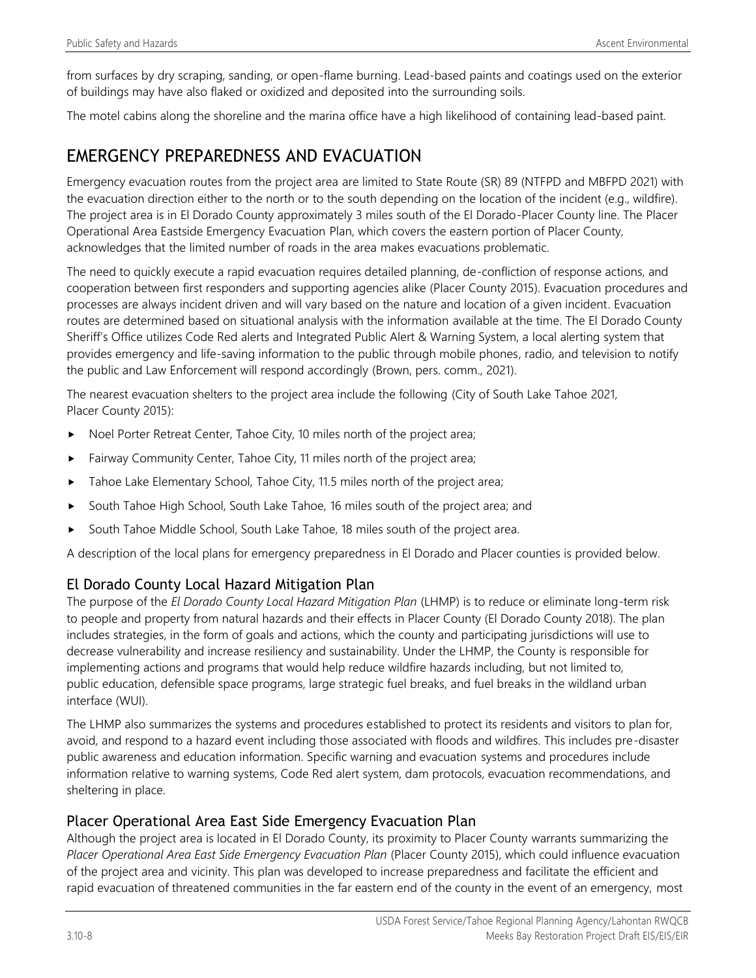from surfaces by dry scraping, sanding, or open-flame burning. Lead-based paints and coatings used on the exterior of buildings may have also flaked or oxidized and deposited into the surrounding soils.

The motel cabins along the shoreline and the marina office have a high likelihood of containing lead-based paint.

## EMERGENCY PREPAREDNESS AND EVACUATION

Emergency evacuation routes from the project area are limited to State Route (SR) 89 (NTFPD and MBFPD 2021) with the evacuation direction either to the north or to the south depending on the location of the incident (e.g., wildfire). The project area is in El Dorado County approximately 3 miles south of the El Dorado-Placer County line. The Placer Operational Area Eastside Emergency Evacuation Plan, which covers the eastern portion of Placer County, acknowledges that the limited number of roads in the area makes evacuations problematic.

The need to quickly execute a rapid evacuation requires detailed planning, de-confliction of response actions, and cooperation between first responders and supporting agencies alike (Placer County 2015). Evacuation procedures and processes are always incident driven and will vary based on the nature and location of a given incident. Evacuation routes are determined based on situational analysis with the information available at the time. The El Dorado County Sheriff's Office utilizes Code Red alerts and Integrated Public Alert & Warning System, a local alerting system that provides emergency and life-saving information to the public through mobile phones, radio, and television to notify the public and Law Enforcement will respond accordingly (Brown, pers. comm., 2021).

The nearest evacuation shelters to the project area include the following (City of South Lake Tahoe 2021, Placer County 2015):

- Noel Porter Retreat Center, Tahoe City, 10 miles north of the project area;
- Fairway Community Center, Tahoe City, 11 miles north of the project area;
- Tahoe Lake Elementary School, Tahoe City, 11.5 miles north of the project area;
- South Tahoe High School, South Lake Tahoe, 16 miles south of the project area; and
- South Tahoe Middle School, South Lake Tahoe, 18 miles south of the project area.

A description of the local plans for emergency preparedness in El Dorado and Placer counties is provided below.

## El Dorado County Local Hazard Mitigation Plan

The purpose of the *El Dorado County Local Hazard Mitigation Plan* (LHMP) is to reduce or eliminate long-term risk to people and property from natural hazards and their effects in Placer County (El Dorado County 2018). The plan includes strategies, in the form of goals and actions, which the county and participating jurisdictions will use to decrease vulnerability and increase resiliency and sustainability. Under the LHMP, the County is responsible for implementing actions and programs that would help reduce wildfire hazards including, but not limited to, public education, defensible space programs, large strategic fuel breaks, and fuel breaks in the wildland urban interface (WUI).

The LHMP also summarizes the systems and procedures established to protect its residents and visitors to plan for, avoid, and respond to a hazard event including those associated with floods and wildfires. This includes pre-disaster public awareness and education information. Specific warning and evacuation systems and procedures include information relative to warning systems, Code Red alert system, dam protocols, evacuation recommendations, and sheltering in place.

## Placer Operational Area East Side Emergency Evacuation Plan

Although the project area is located in El Dorado County, its proximity to Placer County warrants summarizing the *Placer Operational Area East Side Emergency Evacuation Plan* (Placer County 2015), which could influence evacuation of the project area and vicinity. This plan was developed to increase preparedness and facilitate the efficient and rapid evacuation of threatened communities in the far eastern end of the county in the event of an emergency, most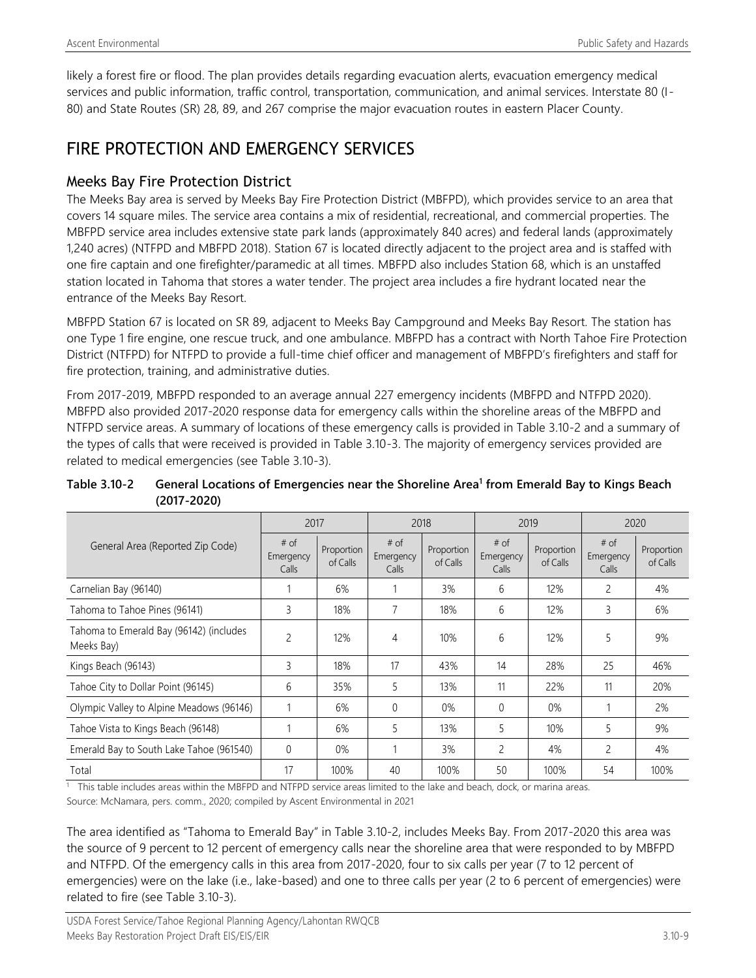likely a forest fire or flood. The plan provides details regarding evacuation alerts, evacuation emergency medical services and public information, traffic control, transportation, communication, and animal services. Interstate 80 (I-80) and State Routes (SR) 28, 89, and 267 comprise the major evacuation routes in eastern Placer County.

## FIRE PROTECTION AND EMERGENCY SERVICES

## Meeks Bay Fire Protection District

The Meeks Bay area is served by Meeks Bay Fire Protection District (MBFPD), which provides service to an area that covers 14 square miles. The service area contains a mix of residential, recreational, and commercial properties. The MBFPD service area includes extensive state park lands (approximately 840 acres) and federal lands (approximately 1,240 acres) (NTFPD and MBFPD 2018). Station 67 is located directly adjacent to the project area and is staffed with one fire captain and one firefighter/paramedic at all times. MBFPD also includes Station 68, which is an unstaffed station located in Tahoma that stores a water tender. The project area includes a fire hydrant located near the entrance of the Meeks Bay Resort.

MBFPD Station 67 is located on SR 89, adjacent to Meeks Bay Campground and Meeks Bay Resort. The station has one Type 1 fire engine, one rescue truck, and one ambulance. MBFPD has a contract with North Tahoe Fire Protection District (NTFPD) for NTFPD to provide a full-time chief officer and management of MBFPD's firefighters and staff for fire protection, training, and administrative duties.

From 2017-2019, MBFPD responded to an average annual 227 emergency incidents (MBFPD and NTFPD 2020). MBFPD also provided 2017-2020 response data for emergency calls within the shoreline areas of the MBFPD and NTFPD service areas. A summary of locations of these emergency calls is provided in Table 3.10-2 and a summary of the types of calls that were received is provided in Table 3.10-3. The majority of emergency services provided are related to medical emergencies (see Table 3.10-3).

|                                                       | 2017                         |                        | 2018                         |                        | 2019                         |                        | 2020                       |                        |
|-------------------------------------------------------|------------------------------|------------------------|------------------------------|------------------------|------------------------------|------------------------|----------------------------|------------------------|
| General Area (Reported Zip Code)                      | $#$ of<br>Emergency<br>Calls | Proportion<br>of Calls | $#$ of<br>Emergency<br>Calls | Proportion<br>of Calls | $#$ of<br>Emergency<br>Calls | Proportion<br>of Calls | # of<br>Emergency<br>Calls | Proportion<br>of Calls |
| Carnelian Bay (96140)                                 |                              | 6%                     |                              | 3%                     | 6                            | 12%                    | 2                          | 4%                     |
| Tahoma to Tahoe Pines (96141)                         | 3                            | 18%                    | 7                            | 18%                    | 6                            | 12%                    | 3                          | 6%                     |
| Tahoma to Emerald Bay (96142) (includes<br>Meeks Bay) | $\overline{c}$               | 12%                    | 4                            | 10%                    | 6                            | 12%                    | 5                          | 9%                     |
| Kings Beach (96143)                                   | $\overline{3}$               | 18%                    | 17                           | 43%                    | 14                           | 28%                    | 25                         | 46%                    |
| Tahoe City to Dollar Point (96145)                    | 6                            | 35%                    | 5                            | 13%                    | 11                           | 22%                    | 11                         | 20%                    |
| Olympic Valley to Alpine Meadows (96146)              |                              | 6%                     | $\Omega$                     | $0\%$                  | $\theta$                     | $0\%$                  |                            | 2%                     |
| Tahoe Vista to Kings Beach (96148)                    |                              | 6%                     | 5                            | 13%                    | 5                            | 10%                    | 5                          | 9%                     |
| Emerald Bay to South Lake Tahoe (961540)              | $\Omega$                     | 0%                     | 1                            | 3%                     | $\overline{c}$               | 4%                     | 2                          | 4%                     |
| Total                                                 | 17                           | 100%                   | 40                           | 100%                   | 50                           | 100%                   | 54                         | 100%                   |

**Table 3.10-2 General Locations of Emergencies near the Shoreline Area<sup>1</sup> from Emerald Bay to Kings Beach (2017-2020)**

<sup>1</sup> This table includes areas within the MBFPD and NTFPD service areas limited to the lake and beach, dock, or marina areas. Source: McNamara, pers. comm., 2020; compiled by Ascent Environmental in 2021

The area identified as "Tahoma to Emerald Bay" in Table 3.10-2, includes Meeks Bay. From 2017-2020 this area was the source of 9 percent to 12 percent of emergency calls near the shoreline area that were responded to by MBFPD and NTFPD. Of the emergency calls in this area from 2017-2020, four to six calls per year (7 to 12 percent of emergencies) were on the lake (i.e., lake-based) and one to three calls per year (2 to 6 percent of emergencies) were related to fire (see Table 3.10-3).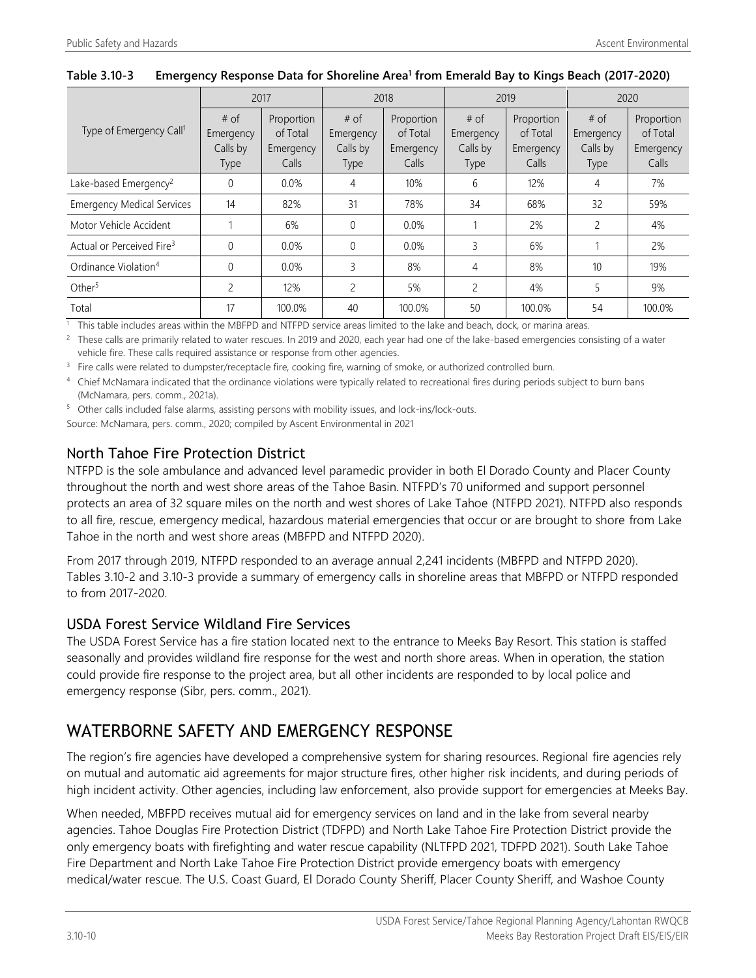|                                       | 2017        |            | 2018         |            | 2019        |            | 2020        |            |
|---------------------------------------|-------------|------------|--------------|------------|-------------|------------|-------------|------------|
|                                       | # of        | Proportion | # of         | Proportion | # of        | Proportion | # of        | Proportion |
| Type of Emergency Call <sup>1</sup>   | Emergency   | of Total   | Emergency    | of Total   | Emergency   | of Total   | Emergency   | of Total   |
|                                       | Calls by    | Emergency  | Calls by     | Emergency  | Calls by    | Emergency  | Calls by    | Emergency  |
|                                       | <b>Type</b> | Calls      | <b>Type</b>  | Calls      | <b>Type</b> | Calls      | <b>Type</b> | Calls      |
| Lake-based Emergency <sup>2</sup>     | 0           | $0.0\%$    | 4            | 10%        | 6           | 12%        | 4           | 7%         |
| <b>Emergency Medical Services</b>     | 14          | 82%        | 31           | 78%        | 34          | 68%        | 32          | 59%        |
| Motor Vehicle Accident                |             | 6%         | $\mathbf{0}$ | $0.0\%$    |             | 2%         | 2           | 4%         |
| Actual or Perceived Fire <sup>3</sup> | $\Omega$    | 0.0%       | 0            | $0.0\%$    | 3           | 6%         |             | 2%         |
| Ordinance Violation <sup>4</sup>      | $\Omega$    | 0.0%       | 3            | 8%         | 4           | 8%         | 10          | 19%        |
| Other <sup>5</sup>                    | 2           | 12%        | 2            | 5%         | 2           | 4%         | 5           | 9%         |
| Total                                 | 17          | 100.0%     | 40           | 100.0%     | 50          | 100.0%     | 54          | 100.0%     |

#### **Table 3.10-3 Emergency Response Data for Shoreline Area<sup>1</sup> from Emerald Bay to Kings Beach (2017-2020)**

 $1$  This table includes areas within the MBFPD and NTFPD service areas limited to the lake and beach, dock, or marina areas.

<sup>2</sup> These calls are primarily related to water rescues. In 2019 and 2020, each year had one of the lake-based emergencies consisting of a water vehicle fire. These calls required assistance or response from other agencies.

<sup>3</sup> Fire calls were related to dumpster/receptacle fire, cooking fire, warning of smoke, or authorized controlled burn.

4 Chief McNamara indicated that the ordinance violations were typically related to recreational fires during periods subject to burn bans (McNamara, pers. comm., 2021a).

<sup>5</sup> Other calls included false alarms, assisting persons with mobility issues, and lock-ins/lock-outs.

Source: McNamara, pers. comm., 2020; compiled by Ascent Environmental in 2021

## North Tahoe Fire Protection District

NTFPD is the sole ambulance and advanced level paramedic provider in both El Dorado County and Placer County throughout the north and west shore areas of the Tahoe Basin. NTFPD's 70 uniformed and support personnel protects an area of 32 square miles on the north and west shores of Lake Tahoe (NTFPD 2021). NTFPD also responds to all fire, rescue, emergency medical, hazardous material emergencies that occur or are brought to shore from Lake Tahoe in the north and west shore areas (MBFPD and NTFPD 2020).

From 2017 through 2019, NTFPD responded to an average annual 2,241 incidents (MBFPD and NTFPD 2020). Tables 3.10-2 and 3.10-3 provide a summary of emergency calls in shoreline areas that MBFPD or NTFPD responded to from 2017-2020.

### USDA Forest Service Wildland Fire Services

The USDA Forest Service has a fire station located next to the entrance to Meeks Bay Resort. This station is staffed seasonally and provides wildland fire response for the west and north shore areas. When in operation, the station could provide fire response to the project area, but all other incidents are responded to by local police and emergency response (Sibr, pers. comm., 2021).

## WATERBORNE SAFETY AND EMERGENCY RESPONSE

The region's fire agencies have developed a comprehensive system for sharing resources. Regional fire agencies rely on mutual and automatic aid agreements for major structure fires, other higher risk incidents, and during periods of high incident activity. Other agencies, including law enforcement, also provide support for emergencies at Meeks Bay.

When needed, MBFPD receives mutual aid for emergency services on land and in the lake from several nearby agencies. Tahoe Douglas Fire Protection District (TDFPD) and North Lake Tahoe Fire Protection District provide the only emergency boats with firefighting and water rescue capability (NLTFPD 2021, TDFPD 2021). South Lake Tahoe Fire Department and North Lake Tahoe Fire Protection District provide emergency boats with emergency medical/water rescue. The U.S. Coast Guard, El Dorado County Sheriff, Placer County Sheriff, and Washoe County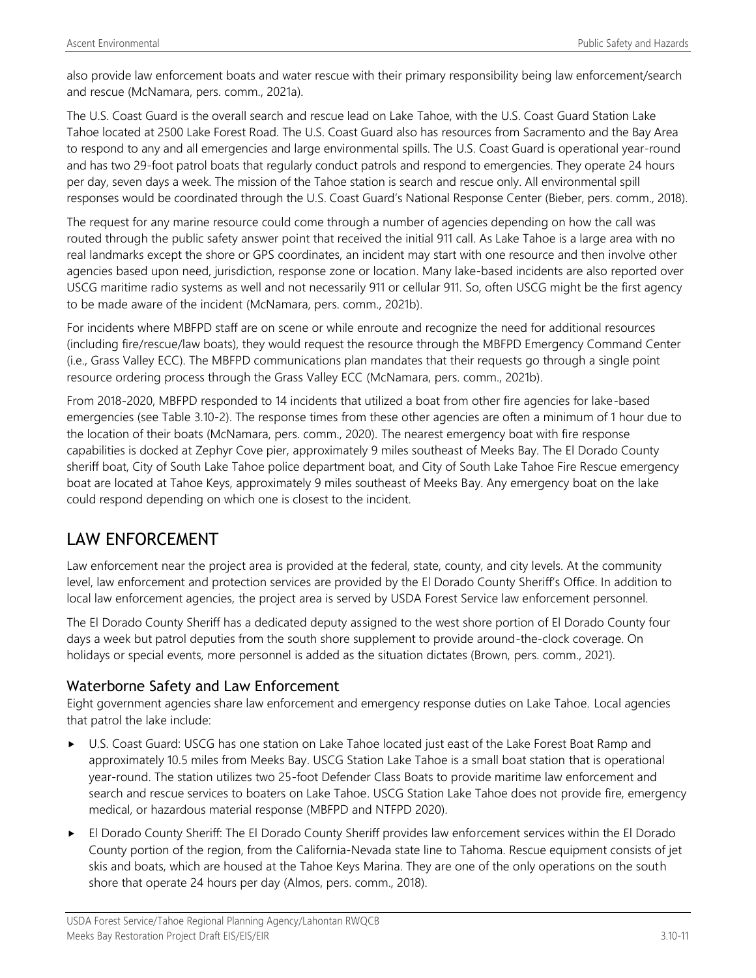also provide law enforcement boats and water rescue with their primary responsibility being law enforcement/search and rescue (McNamara, pers. comm., 2021a).

The U.S. Coast Guard is the overall search and rescue lead on Lake Tahoe, with the U.S. Coast Guard Station Lake Tahoe located at 2500 Lake Forest Road. The U.S. Coast Guard also has resources from Sacramento and the Bay Area to respond to any and all emergencies and large environmental spills. The U.S. Coast Guard is operational year-round and has two 29-foot patrol boats that regularly conduct patrols and respond to emergencies. They operate 24 hours per day, seven days a week. The mission of the Tahoe station is search and rescue only. All environmental spill responses would be coordinated through the U.S. Coast Guard's National Response Center (Bieber, pers. comm., 2018).

The request for any marine resource could come through a number of agencies depending on how the call was routed through the public safety answer point that received the initial 911 call. As Lake Tahoe is a large area with no real landmarks except the shore or GPS coordinates, an incident may start with one resource and then involve other agencies based upon need, jurisdiction, response zone or location. Many lake-based incidents are also reported over USCG maritime radio systems as well and not necessarily 911 or cellular 911. So, often USCG might be the first agency to be made aware of the incident (McNamara, pers. comm., 2021b).

For incidents where MBFPD staff are on scene or while enroute and recognize the need for additional resources (including fire/rescue/law boats), they would request the resource through the MBFPD Emergency Command Center (i.e., Grass Valley ECC). The MBFPD communications plan mandates that their requests go through a single point resource ordering process through the Grass Valley ECC (McNamara, pers. comm., 2021b).

From 2018-2020, MBFPD responded to 14 incidents that utilized a boat from other fire agencies for lake-based emergencies (see Table 3.10-2). The response times from these other agencies are often a minimum of 1 hour due to the location of their boats (McNamara, pers. comm., 2020). The nearest emergency boat with fire response capabilities is docked at Zephyr Cove pier, approximately 9 miles southeast of Meeks Bay. The El Dorado County sheriff boat, City of South Lake Tahoe police department boat, and City of South Lake Tahoe Fire Rescue emergency boat are located at Tahoe Keys, approximately 9 miles southeast of Meeks Bay. Any emergency boat on the lake could respond depending on which one is closest to the incident.

## LAW ENFORCEMENT

Law enforcement near the project area is provided at the federal, state, county, and city levels. At the community level, law enforcement and protection services are provided by the El Dorado County Sheriff's Office. In addition to local law enforcement agencies, the project area is served by USDA Forest Service law enforcement personnel.

The El Dorado County Sheriff has a dedicated deputy assigned to the west shore portion of El Dorado County four days a week but patrol deputies from the south shore supplement to provide around-the-clock coverage. On holidays or special events, more personnel is added as the situation dictates (Brown, pers. comm., 2021).

## Waterborne Safety and Law Enforcement

Eight government agencies share law enforcement and emergency response duties on Lake Tahoe. Local agencies that patrol the lake include:

- U.S. Coast Guard: USCG has one station on Lake Tahoe located just east of the Lake Forest Boat Ramp and approximately 10.5 miles from Meeks Bay. USCG Station Lake Tahoe is a small boat station that is operational year-round. The station utilizes two 25-foot Defender Class Boats to provide maritime law enforcement and search and rescue services to boaters on Lake Tahoe. USCG Station Lake Tahoe does not provide fire, emergency medical, or hazardous material response (MBFPD and NTFPD 2020).
- El Dorado County Sheriff: The El Dorado County Sheriff provides law enforcement services within the El Dorado County portion of the region, from the California‐Nevada state line to Tahoma. Rescue equipment consists of jet skis and boats, which are housed at the Tahoe Keys Marina. They are one of the only operations on the south shore that operate 24 hours per day (Almos, pers. comm., 2018).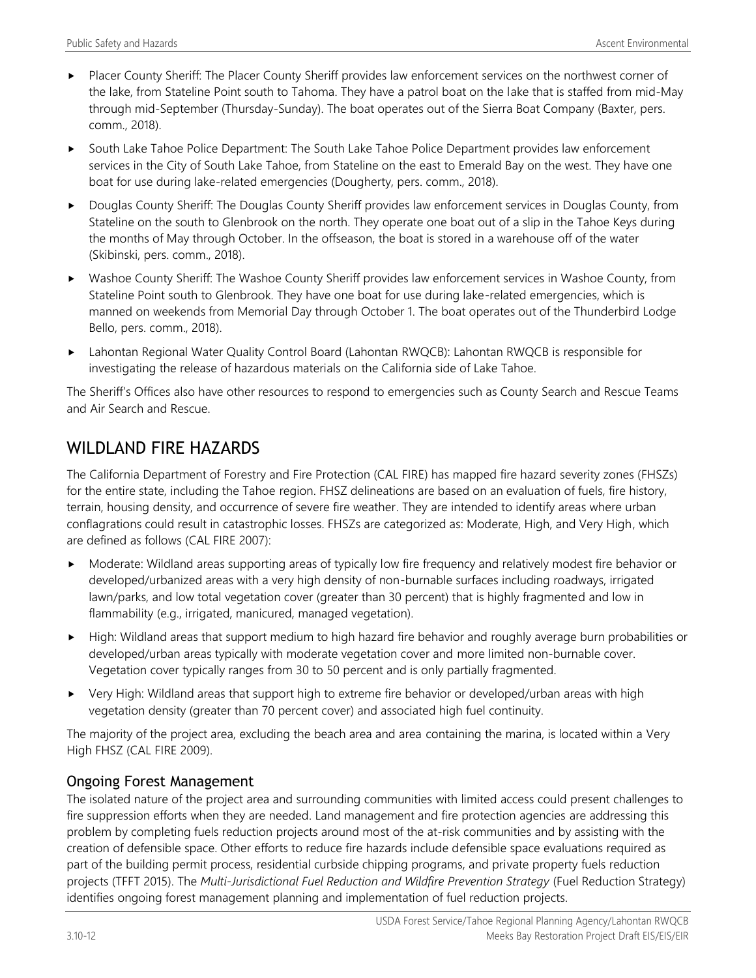- Placer County Sheriff: The Placer County Sheriff provides law enforcement services on the northwest corner of the lake, from Stateline Point south to Tahoma. They have a patrol boat on the lake that is staffed from mid-May through mid-September (Thursday-Sunday). The boat operates out of the Sierra Boat Company (Baxter, pers. comm., 2018).
- South Lake Tahoe Police Department: The South Lake Tahoe Police Department provides law enforcement services in the City of South Lake Tahoe, from Stateline on the east to Emerald Bay on the west. They have one boat for use during lake-related emergencies (Dougherty, pers. comm., 2018).
- Douglas County Sheriff: The Douglas County Sheriff provides law enforcement services in Douglas County, from Stateline on the south to Glenbrook on the north. They operate one boat out of a slip in the Tahoe Keys during the months of May through October. In the offseason, the boat is stored in a warehouse off of the water (Skibinski, pers. comm., 2018).
- Washoe County Sheriff: The Washoe County Sheriff provides law enforcement services in Washoe County, from Stateline Point south to Glenbrook. They have one boat for use during lake-related emergencies, which is manned on weekends from Memorial Day through October 1. The boat operates out of the Thunderbird Lodge Bello, pers. comm., 2018).
- Lahontan Regional Water Quality Control Board (Lahontan RWQCB): Lahontan RWQCB is responsible for investigating the release of hazardous materials on the California side of Lake Tahoe.

The Sheriff's Offices also have other resources to respond to emergencies such as County Search and Rescue Teams and Air Search and Rescue.

## WILDLAND FIRE HAZARDS

The California Department of Forestry and Fire Protection (CAL FIRE) has mapped fire hazard severity zones (FHSZs) for the entire state, including the Tahoe region. FHSZ delineations are based on an evaluation of fuels, fire history, terrain, housing density, and occurrence of severe fire weather. They are intended to identify areas where urban conflagrations could result in catastrophic losses. FHSZs are categorized as: Moderate, High, and Very High, which are defined as follows (CAL FIRE 2007):

- Moderate: Wildland areas supporting areas of typically low fire frequency and relatively modest fire behavior or developed/urbanized areas with a very high density of non-burnable surfaces including roadways, irrigated lawn/parks, and low total vegetation cover (greater than 30 percent) that is highly fragmented and low in flammability (e.g., irrigated, manicured, managed vegetation).
- High: Wildland areas that support medium to high hazard fire behavior and roughly average burn probabilities or developed/urban areas typically with moderate vegetation cover and more limited non-burnable cover. Vegetation cover typically ranges from 30 to 50 percent and is only partially fragmented.
- Very High: Wildland areas that support high to extreme fire behavior or developed/urban areas with high vegetation density (greater than 70 percent cover) and associated high fuel continuity.

The majority of the project area, excluding the beach area and area containing the marina, is located within a Very High FHSZ (CAL FIRE 2009).

## Ongoing Forest Management

The isolated nature of the project area and surrounding communities with limited access could present challenges to fire suppression efforts when they are needed. Land management and fire protection agencies are addressing this problem by completing fuels reduction projects around most of the at-risk communities and by assisting with the creation of defensible space. Other efforts to reduce fire hazards include defensible space evaluations required as part of the building permit process, residential curbside chipping programs, and private property fuels reduction projects (TFFT 2015). The *Multi-Jurisdictional Fuel Reduction and Wildfire Prevention Strategy* (Fuel Reduction Strategy) identifies ongoing forest management planning and implementation of fuel reduction projects.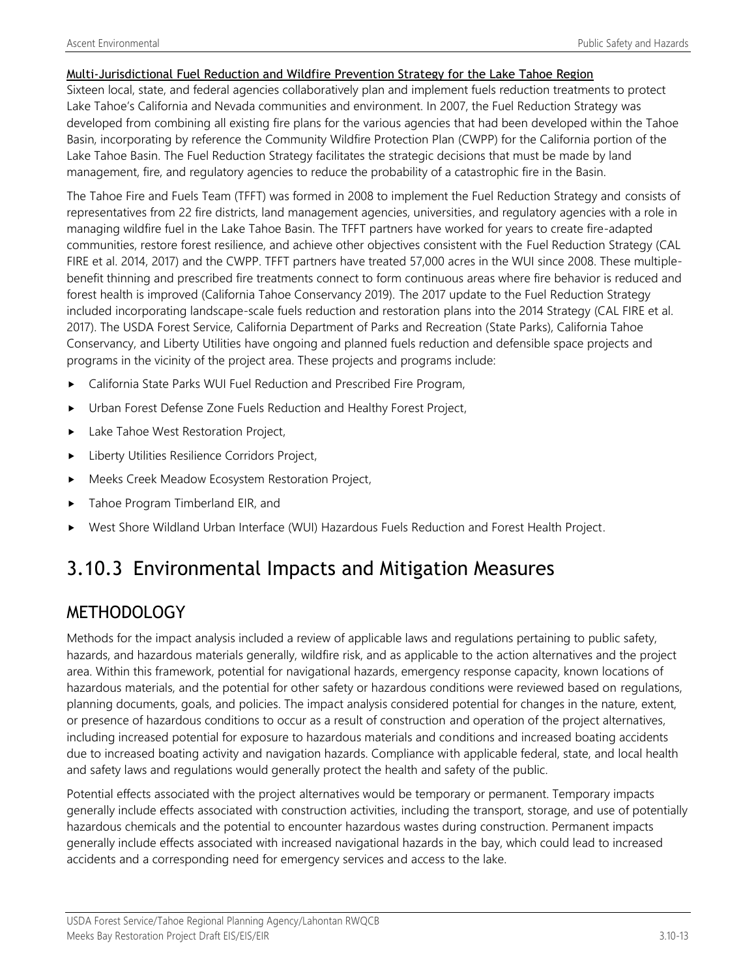#### Multi-Jurisdictional Fuel Reduction and Wildfire Prevention Strategy for the Lake Tahoe Region

Sixteen local, state, and federal agencies collaboratively plan and implement fuels reduction treatments to protect Lake Tahoe's California and Nevada communities and environment. In 2007, the Fuel Reduction Strategy was developed from combining all existing fire plans for the various agencies that had been developed within the Tahoe Basin, incorporating by reference the Community Wildfire Protection Plan (CWPP) for the California portion of the Lake Tahoe Basin. The Fuel Reduction Strategy facilitates the strategic decisions that must be made by land management, fire, and regulatory agencies to reduce the probability of a catastrophic fire in the Basin.

The Tahoe Fire and Fuels Team (TFFT) was formed in 2008 to implement the Fuel Reduction Strategy and consists of representatives from 22 fire districts, land management agencies, universities, and regulatory agencies with a role in managing wildfire fuel in the Lake Tahoe Basin. The TFFT partners have worked for years to create fire-adapted communities, restore forest resilience, and achieve other objectives consistent with the Fuel Reduction Strategy (CAL FIRE et al. 2014, 2017) and the CWPP. TFFT partners have treated 57,000 acres in the WUI since 2008. These multiplebenefit thinning and prescribed fire treatments connect to form continuous areas where fire behavior is reduced and forest health is improved (California Tahoe Conservancy 2019). The 2017 update to the Fuel Reduction Strategy included incorporating landscape-scale fuels reduction and restoration plans into the 2014 Strategy (CAL FIRE et al. 2017). The USDA Forest Service, California Department of Parks and Recreation (State Parks), California Tahoe Conservancy, and Liberty Utilities have ongoing and planned fuels reduction and defensible space projects and programs in the vicinity of the project area. These projects and programs include:

- California State Parks WUI Fuel Reduction and Prescribed Fire Program,
- Urban Forest Defense Zone Fuels Reduction and Healthy Forest Project,
- Lake Tahoe West Restoration Project,
- **Liberty Utilities Resilience Corridors Project,**
- Meeks Creek Meadow Ecosystem Restoration Project,
- ▶ Tahoe Program Timberland EIR, and
- West Shore Wildland Urban Interface (WUI) Hazardous Fuels Reduction and Forest Health Project.

# 3.10.3 Environmental Impacts and Mitigation Measures

## METHODOLOGY

Methods for the impact analysis included a review of applicable laws and regulations pertaining to public safety, hazards, and hazardous materials generally, wildfire risk, and as applicable to the action alternatives and the project area. Within this framework, potential for navigational hazards, emergency response capacity, known locations of hazardous materials, and the potential for other safety or hazardous conditions were reviewed based on regulations, planning documents, goals, and policies. The impact analysis considered potential for changes in the nature, extent, or presence of hazardous conditions to occur as a result of construction and operation of the project alternatives, including increased potential for exposure to hazardous materials and conditions and increased boating accidents due to increased boating activity and navigation hazards. Compliance with applicable federal, state, and local health and safety laws and regulations would generally protect the health and safety of the public.

Potential effects associated with the project alternatives would be temporary or permanent. Temporary impacts generally include effects associated with construction activities, including the transport, storage, and use of potentially hazardous chemicals and the potential to encounter hazardous wastes during construction. Permanent impacts generally include effects associated with increased navigational hazards in the bay, which could lead to increased accidents and a corresponding need for emergency services and access to the lake.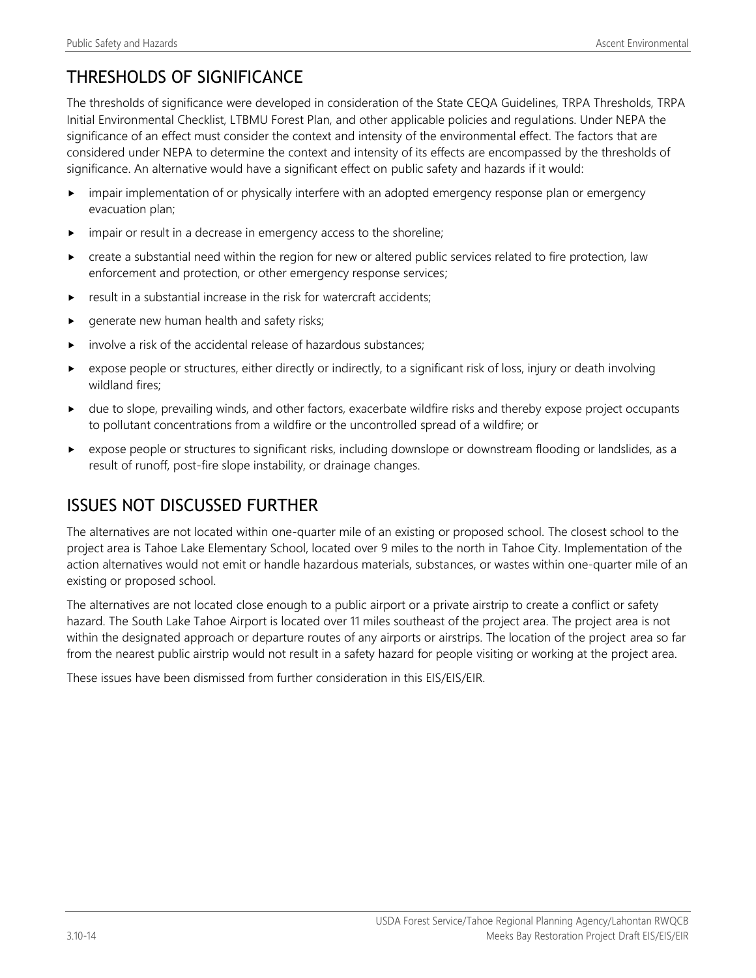# THRESHOLDS OF SIGNIFICANCE

The thresholds of significance were developed in consideration of the State CEQA Guidelines, TRPA Thresholds, TRPA Initial Environmental Checklist, LTBMU Forest Plan, and other applicable policies and regulations. Under NEPA the significance of an effect must consider the context and intensity of the environmental effect. The factors that are considered under NEPA to determine the context and intensity of its effects are encompassed by the thresholds of significance. An alternative would have a significant effect on public safety and hazards if it would:

- impair implementation of or physically interfere with an adopted emergency response plan or emergency evacuation plan;
- impair or result in a decrease in emergency access to the shoreline;
- create a substantial need within the region for new or altered public services related to fire protection, law enforcement and protection, or other emergency response services;
- result in a substantial increase in the risk for watercraft accidents;
- generate new human health and safety risks;
- involve a risk of the accidental release of hazardous substances;
- expose people or structures, either directly or indirectly, to a significant risk of loss, injury or death involving wildland fires;
- due to slope, prevailing winds, and other factors, exacerbate wildfire risks and thereby expose project occupants to pollutant concentrations from a wildfire or the uncontrolled spread of a wildfire; or
- expose people or structures to significant risks, including downslope or downstream flooding or landslides, as a result of runoff, post-fire slope instability, or drainage changes.

## ISSUES NOT DISCUSSED FURTHER

The alternatives are not located within one-quarter mile of an existing or proposed school. The closest school to the project area is Tahoe Lake Elementary School, located over 9 miles to the north in Tahoe City. Implementation of the action alternatives would not emit or handle hazardous materials, substances, or wastes within one-quarter mile of an existing or proposed school.

The alternatives are not located close enough to a public airport or a private airstrip to create a conflict or safety hazard. The South Lake Tahoe Airport is located over 11 miles southeast of the project area. The project area is not within the designated approach or departure routes of any airports or airstrips. The location of the project area so far from the nearest public airstrip would not result in a safety hazard for people visiting or working at the project area.

These issues have been dismissed from further consideration in this EIS/EIS/EIR.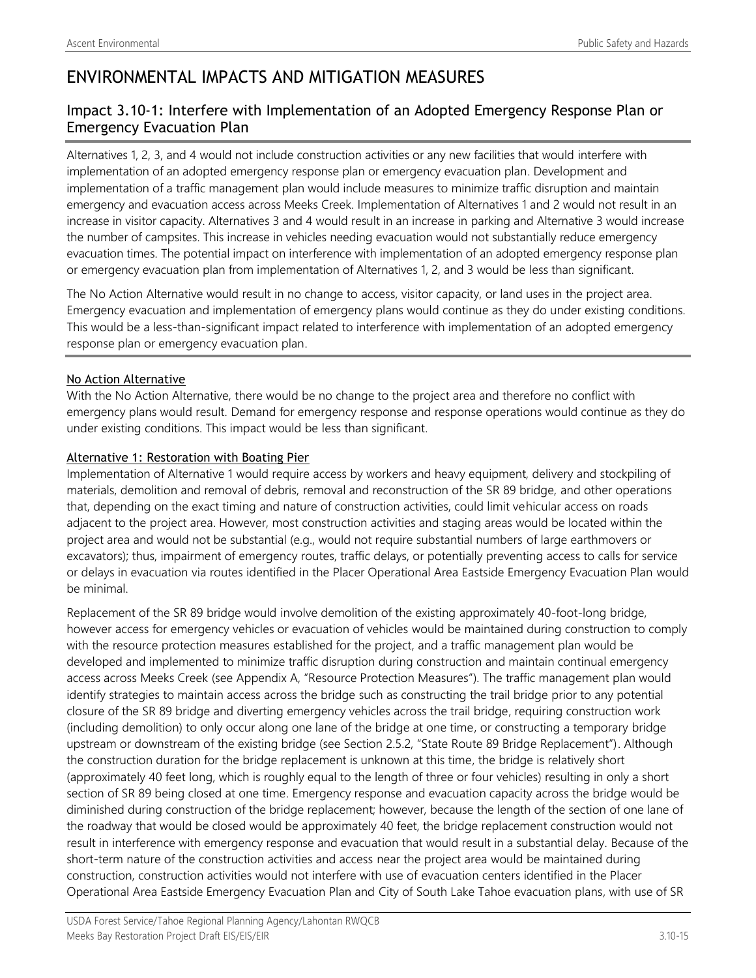## ENVIRONMENTAL IMPACTS AND MITIGATION MEASURES

## Impact 3.10-1: Interfere with Implementation of an Adopted Emergency Response Plan or Emergency Evacuation Plan

Alternatives 1, 2, 3, and 4 would not include construction activities or any new facilities that would interfere with implementation of an adopted emergency response plan or emergency evacuation plan. Development and implementation of a traffic management plan would include measures to minimize traffic disruption and maintain emergency and evacuation access across Meeks Creek. Implementation of Alternatives 1 and 2 would not result in an increase in visitor capacity. Alternatives 3 and 4 would result in an increase in parking and Alternative 3 would increase the number of campsites. This increase in vehicles needing evacuation would not substantially reduce emergency evacuation times. The potential impact on interference with implementation of an adopted emergency response plan or emergency evacuation plan from implementation of Alternatives 1, 2, and 3 would be less than significant.

The No Action Alternative would result in no change to access, visitor capacity, or land uses in the project area. Emergency evacuation and implementation of emergency plans would continue as they do under existing conditions. This would be a less-than-significant impact related to interference with implementation of an adopted emergency response plan or emergency evacuation plan.

#### No Action Alternative

With the No Action Alternative, there would be no change to the project area and therefore no conflict with emergency plans would result. Demand for emergency response and response operations would continue as they do under existing conditions. This impact would be less than significant.

#### Alternative 1: Restoration with Boating Pier

Implementation of Alternative 1 would require access by workers and heavy equipment, delivery and stockpiling of materials, demolition and removal of debris, removal and reconstruction of the SR 89 bridge, and other operations that, depending on the exact timing and nature of construction activities, could limit vehicular access on roads adjacent to the project area. However, most construction activities and staging areas would be located within the project area and would not be substantial (e.g., would not require substantial numbers of large earthmovers or excavators); thus, impairment of emergency routes, traffic delays, or potentially preventing access to calls for service or delays in evacuation via routes identified in the Placer Operational Area Eastside Emergency Evacuation Plan would be minimal.

Replacement of the SR 89 bridge would involve demolition of the existing approximately 40-foot-long bridge, however access for emergency vehicles or evacuation of vehicles would be maintained during construction to comply with the resource protection measures established for the project, and a traffic management plan would be developed and implemented to minimize traffic disruption during construction and maintain continual emergency access across Meeks Creek (see Appendix A, "Resource Protection Measures"). The traffic management plan would identify strategies to maintain access across the bridge such as constructing the trail bridge prior to any potential closure of the SR 89 bridge and diverting emergency vehicles across the trail bridge, requiring construction work (including demolition) to only occur along one lane of the bridge at one time, or constructing a temporary bridge upstream or downstream of the existing bridge (see Section 2.5.2, "State Route 89 Bridge Replacement"). Although the construction duration for the bridge replacement is unknown at this time, the bridge is relatively short (approximately 40 feet long, which is roughly equal to the length of three or four vehicles) resulting in only a short section of SR 89 being closed at one time. Emergency response and evacuation capacity across the bridge would be diminished during construction of the bridge replacement; however, because the length of the section of one lane of the roadway that would be closed would be approximately 40 feet, the bridge replacement construction would not result in interference with emergency response and evacuation that would result in a substantial delay. Because of the short-term nature of the construction activities and access near the project area would be maintained during construction, construction activities would not interfere with use of evacuation centers identified in the Placer Operational Area Eastside Emergency Evacuation Plan and City of South Lake Tahoe evacuation plans, with use of SR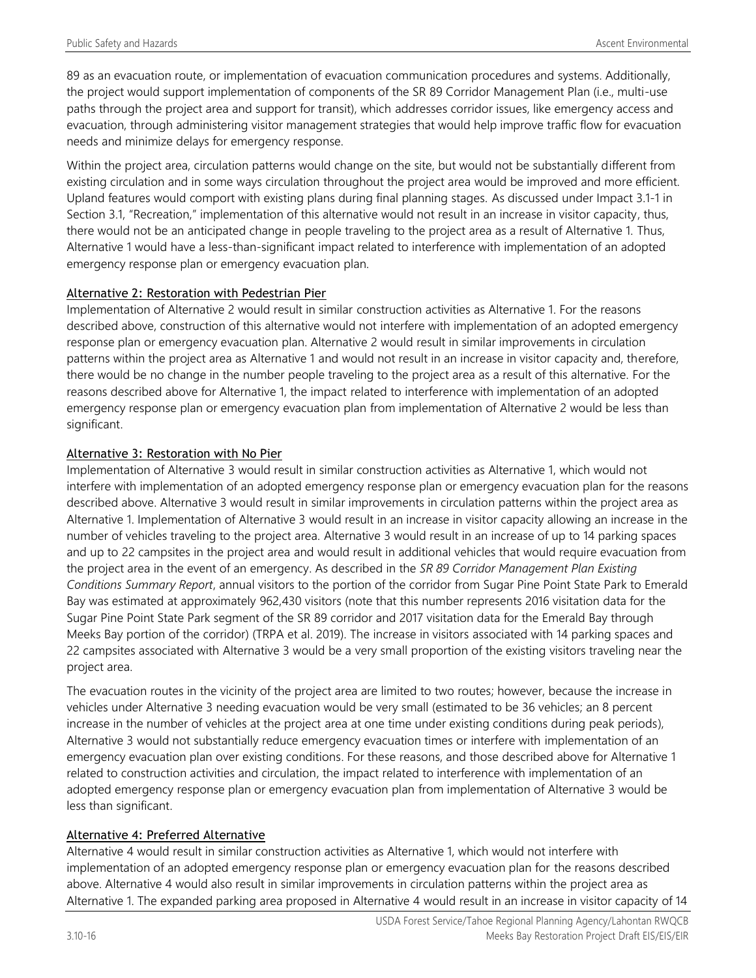89 as an evacuation route, or implementation of evacuation communication procedures and systems. Additionally, the project would support implementation of components of the SR 89 Corridor Management Plan (i.e., multi-use paths through the project area and support for transit), which addresses corridor issues, like emergency access and evacuation, through administering visitor management strategies that would help improve traffic flow for evacuation needs and minimize delays for emergency response.

Within the project area, circulation patterns would change on the site, but would not be substantially different from existing circulation and in some ways circulation throughout the project area would be improved and more efficient. Upland features would comport with existing plans during final planning stages. As discussed under Impact 3.1-1 in Section 3.1, "Recreation," implementation of this alternative would not result in an increase in visitor capacity, thus, there would not be an anticipated change in people traveling to the project area as a result of Alternative 1. Thus, Alternative 1 would have a less-than-significant impact related to interference with implementation of an adopted emergency response plan or emergency evacuation plan.

#### Alternative 2: Restoration with Pedestrian Pier

Implementation of Alternative 2 would result in similar construction activities as Alternative 1. For the reasons described above, construction of this alternative would not interfere with implementation of an adopted emergency response plan or emergency evacuation plan. Alternative 2 would result in similar improvements in circulation patterns within the project area as Alternative 1 and would not result in an increase in visitor capacity and, therefore, there would be no change in the number people traveling to the project area as a result of this alternative. For the reasons described above for Alternative 1, the impact related to interference with implementation of an adopted emergency response plan or emergency evacuation plan from implementation of Alternative 2 would be less than significant.

#### Alternative 3: Restoration with No Pier

Implementation of Alternative 3 would result in similar construction activities as Alternative 1, which would not interfere with implementation of an adopted emergency response plan or emergency evacuation plan for the reasons described above. Alternative 3 would result in similar improvements in circulation patterns within the project area as Alternative 1. Implementation of Alternative 3 would result in an increase in visitor capacity allowing an increase in the number of vehicles traveling to the project area. Alternative 3 would result in an increase of up to 14 parking spaces and up to 22 campsites in the project area and would result in additional vehicles that would require evacuation from the project area in the event of an emergency. As described in the *SR 89 Corridor Management Plan Existing Conditions Summary Report*, annual visitors to the portion of the corridor from Sugar Pine Point State Park to Emerald Bay was estimated at approximately 962,430 visitors (note that this number represents 2016 visitation data for the Sugar Pine Point State Park segment of the SR 89 corridor and 2017 visitation data for the Emerald Bay through Meeks Bay portion of the corridor) (TRPA et al. 2019). The increase in visitors associated with 14 parking spaces and 22 campsites associated with Alternative 3 would be a very small proportion of the existing visitors traveling near the project area.

The evacuation routes in the vicinity of the project area are limited to two routes; however, because the increase in vehicles under Alternative 3 needing evacuation would be very small (estimated to be 36 vehicles; an 8 percent increase in the number of vehicles at the project area at one time under existing conditions during peak periods), Alternative 3 would not substantially reduce emergency evacuation times or interfere with implementation of an emergency evacuation plan over existing conditions. For these reasons, and those described above for Alternative 1 related to construction activities and circulation, the impact related to interference with implementation of an adopted emergency response plan or emergency evacuation plan from implementation of Alternative 3 would be less than significant.

### Alternative 4: Preferred Alternative

Alternative 4 would result in similar construction activities as Alternative 1, which would not interfere with implementation of an adopted emergency response plan or emergency evacuation plan for the reasons described above. Alternative 4 would also result in similar improvements in circulation patterns within the project area as Alternative 1. The expanded parking area proposed in Alternative 4 would result in an increase in visitor capacity of 14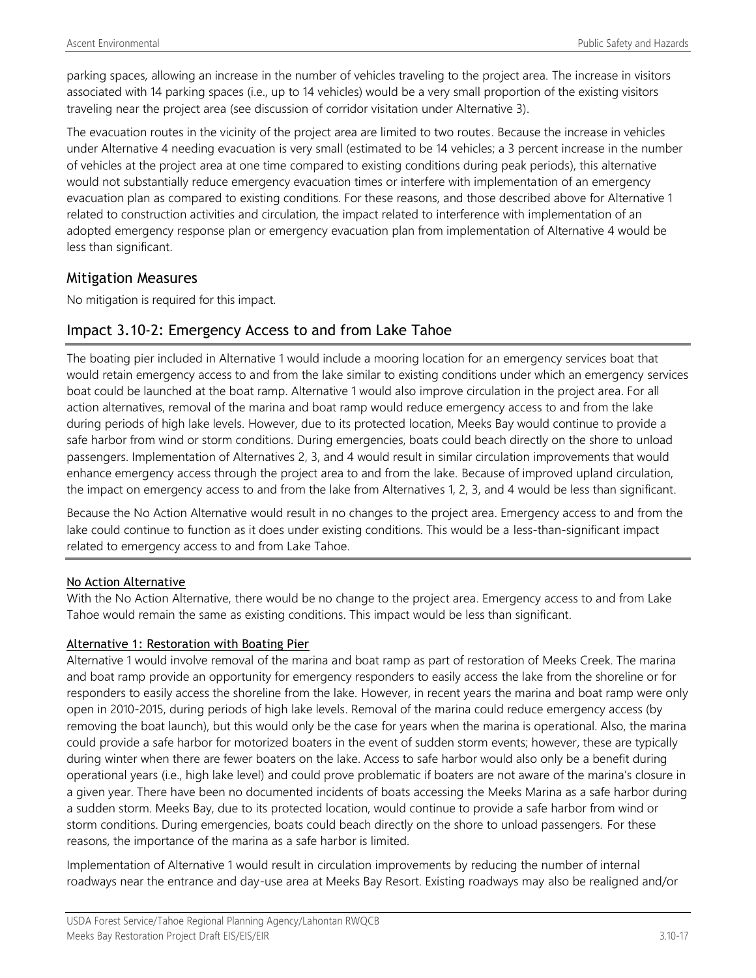parking spaces, allowing an increase in the number of vehicles traveling to the project area. The increase in visitors associated with 14 parking spaces (i.e., up to 14 vehicles) would be a very small proportion of the existing visitors traveling near the project area (see discussion of corridor visitation under Alternative 3).

The evacuation routes in the vicinity of the project area are limited to two routes. Because the increase in vehicles under Alternative 4 needing evacuation is very small (estimated to be 14 vehicles; a 3 percent increase in the number of vehicles at the project area at one time compared to existing conditions during peak periods), this alternative would not substantially reduce emergency evacuation times or interfere with implementation of an emergency evacuation plan as compared to existing conditions. For these reasons, and those described above for Alternative 1 related to construction activities and circulation, the impact related to interference with implementation of an adopted emergency response plan or emergency evacuation plan from implementation of Alternative 4 would be less than significant.

## Mitigation Measures

No mitigation is required for this impact.

## Impact 3.10-2: Emergency Access to and from Lake Tahoe

The boating pier included in Alternative 1 would include a mooring location for an emergency services boat that would retain emergency access to and from the lake similar to existing conditions under which an emergency services boat could be launched at the boat ramp. Alternative 1 would also improve circulation in the project area. For all action alternatives, removal of the marina and boat ramp would reduce emergency access to and from the lake during periods of high lake levels. However, due to its protected location, Meeks Bay would continue to provide a safe harbor from wind or storm conditions. During emergencies, boats could beach directly on the shore to unload passengers. Implementation of Alternatives 2, 3, and 4 would result in similar circulation improvements that would enhance emergency access through the project area to and from the lake. Because of improved upland circulation, the impact on emergency access to and from the lake from Alternatives 1, 2, 3, and 4 would be less than significant.

Because the No Action Alternative would result in no changes to the project area. Emergency access to and from the lake could continue to function as it does under existing conditions. This would be a less-than-significant impact related to emergency access to and from Lake Tahoe.

#### No Action Alternative

With the No Action Alternative, there would be no change to the project area. Emergency access to and from Lake Tahoe would remain the same as existing conditions. This impact would be less than significant.

#### Alternative 1: Restoration with Boating Pier

Alternative 1 would involve removal of the marina and boat ramp as part of restoration of Meeks Creek. The marina and boat ramp provide an opportunity for emergency responders to easily access the lake from the shoreline or for responders to easily access the shoreline from the lake. However, in recent years the marina and boat ramp were only open in 2010-2015, during periods of high lake levels. Removal of the marina could reduce emergency access (by removing the boat launch), but this would only be the case for years when the marina is operational. Also, the marina could provide a safe harbor for motorized boaters in the event of sudden storm events; however, these are typically during winter when there are fewer boaters on the lake. Access to safe harbor would also only be a benefit during operational years (i.e., high lake level) and could prove problematic if boaters are not aware of the marina's closure in a given year. There have been no documented incidents of boats accessing the Meeks Marina as a safe harbor during a sudden storm. Meeks Bay, due to its protected location, would continue to provide a safe harbor from wind or storm conditions. During emergencies, boats could beach directly on the shore to unload passengers. For these reasons, the importance of the marina as a safe harbor is limited.

Implementation of Alternative 1 would result in circulation improvements by reducing the number of internal roadways near the entrance and day-use area at Meeks Bay Resort. Existing roadways may also be realigned and/or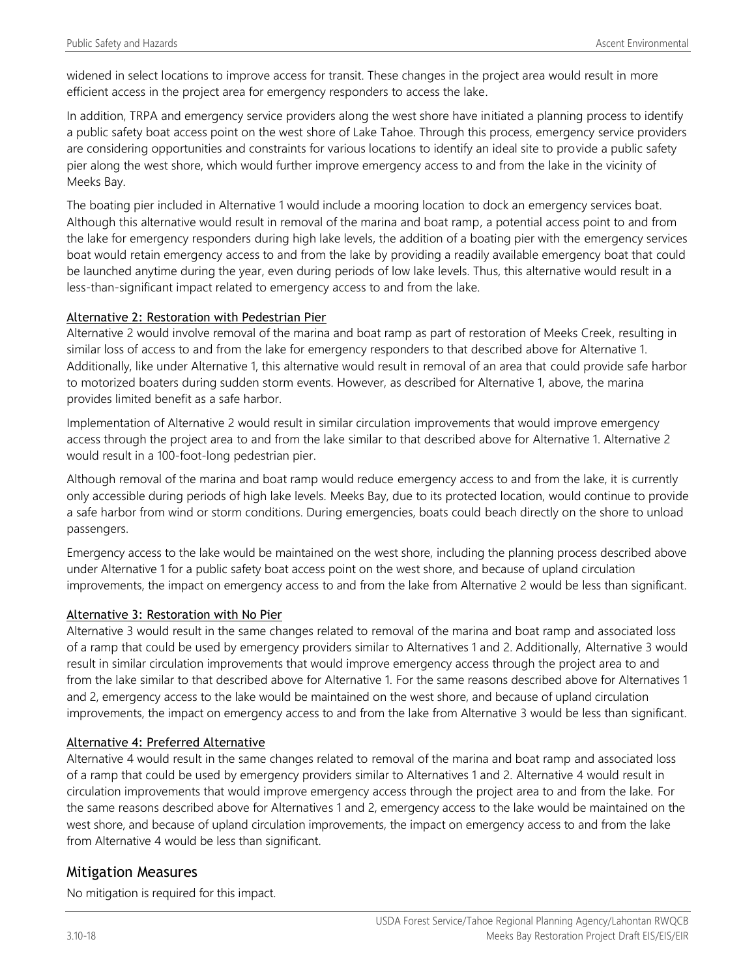widened in select locations to improve access for transit. These changes in the project area would result in more efficient access in the project area for emergency responders to access the lake.

In addition, TRPA and emergency service providers along the west shore have initiated a planning process to identify a public safety boat access point on the west shore of Lake Tahoe. Through this process, emergency service providers are considering opportunities and constraints for various locations to identify an ideal site to provide a public safety pier along the west shore, which would further improve emergency access to and from the lake in the vicinity of Meeks Bay.

The boating pier included in Alternative 1 would include a mooring location to dock an emergency services boat. Although this alternative would result in removal of the marina and boat ramp, a potential access point to and from the lake for emergency responders during high lake levels, the addition of a boating pier with the emergency services boat would retain emergency access to and from the lake by providing a readily available emergency boat that could be launched anytime during the year, even during periods of low lake levels. Thus, this alternative would result in a less-than-significant impact related to emergency access to and from the lake.

#### Alternative 2: Restoration with Pedestrian Pier

Alternative 2 would involve removal of the marina and boat ramp as part of restoration of Meeks Creek, resulting in similar loss of access to and from the lake for emergency responders to that described above for Alternative 1. Additionally, like under Alternative 1, this alternative would result in removal of an area that could provide safe harbor to motorized boaters during sudden storm events. However, as described for Alternative 1, above, the marina provides limited benefit as a safe harbor.

Implementation of Alternative 2 would result in similar circulation improvements that would improve emergency access through the project area to and from the lake similar to that described above for Alternative 1. Alternative 2 would result in a 100-foot-long pedestrian pier.

Although removal of the marina and boat ramp would reduce emergency access to and from the lake, it is currently only accessible during periods of high lake levels. Meeks Bay, due to its protected location, would continue to provide a safe harbor from wind or storm conditions. During emergencies, boats could beach directly on the shore to unload passengers.

Emergency access to the lake would be maintained on the west shore, including the planning process described above under Alternative 1 for a public safety boat access point on the west shore, and because of upland circulation improvements, the impact on emergency access to and from the lake from Alternative 2 would be less than significant.

### Alternative 3: Restoration with No Pier

Alternative 3 would result in the same changes related to removal of the marina and boat ramp and associated loss of a ramp that could be used by emergency providers similar to Alternatives 1 and 2. Additionally, Alternative 3 would result in similar circulation improvements that would improve emergency access through the project area to and from the lake similar to that described above for Alternative 1. For the same reasons described above for Alternatives 1 and 2, emergency access to the lake would be maintained on the west shore, and because of upland circulation improvements, the impact on emergency access to and from the lake from Alternative 3 would be less than significant.

### Alternative 4: Preferred Alternative

Alternative 4 would result in the same changes related to removal of the marina and boat ramp and associated loss of a ramp that could be used by emergency providers similar to Alternatives 1 and 2. Alternative 4 would result in circulation improvements that would improve emergency access through the project area to and from the lake. For the same reasons described above for Alternatives 1 and 2, emergency access to the lake would be maintained on the west shore, and because of upland circulation improvements, the impact on emergency access to and from the lake from Alternative 4 would be less than significant.

## Mitigation Measures

No mitigation is required for this impact.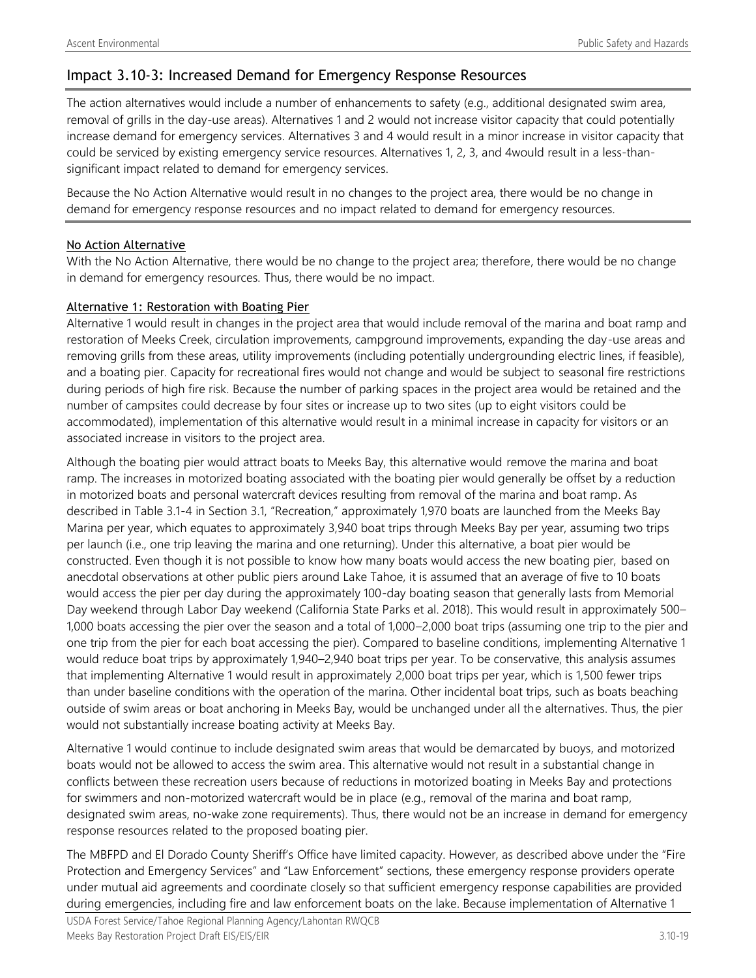## Impact 3.10-3: Increased Demand for Emergency Response Resources

The action alternatives would include a number of enhancements to safety (e.g., additional designated swim area, removal of grills in the day-use areas). Alternatives 1 and 2 would not increase visitor capacity that could potentially increase demand for emergency services. Alternatives 3 and 4 would result in a minor increase in visitor capacity that could be serviced by existing emergency service resources. Alternatives 1, 2, 3, and 4would result in a less-thansignificant impact related to demand for emergency services.

Because the No Action Alternative would result in no changes to the project area, there would be no change in demand for emergency response resources and no impact related to demand for emergency resources.

#### No Action Alternative

With the No Action Alternative, there would be no change to the project area; therefore, there would be no change in demand for emergency resources. Thus, there would be no impact.

#### Alternative 1: Restoration with Boating Pier

Alternative 1 would result in changes in the project area that would include removal of the marina and boat ramp and restoration of Meeks Creek, circulation improvements, campground improvements, expanding the day-use areas and removing grills from these areas, utility improvements (including potentially undergrounding electric lines, if feasible), and a boating pier. Capacity for recreational fires would not change and would be subject to seasonal fire restrictions during periods of high fire risk. Because the number of parking spaces in the project area would be retained and the number of campsites could decrease by four sites or increase up to two sites (up to eight visitors could be accommodated), implementation of this alternative would result in a minimal increase in capacity for visitors or an associated increase in visitors to the project area.

Although the boating pier would attract boats to Meeks Bay, this alternative would remove the marina and boat ramp. The increases in motorized boating associated with the boating pier would generally be offset by a reduction in motorized boats and personal watercraft devices resulting from removal of the marina and boat ramp. As described in Table 3.1-4 in Section 3.1, "Recreation," approximately 1,970 boats are launched from the Meeks Bay Marina per year, which equates to approximately 3,940 boat trips through Meeks Bay per year, assuming two trips per launch (i.e., one trip leaving the marina and one returning). Under this alternative, a boat pier would be constructed. Even though it is not possible to know how many boats would access the new boating pier, based on anecdotal observations at other public piers around Lake Tahoe, it is assumed that an average of five to 10 boats would access the pier per day during the approximately 100-day boating season that generally lasts from Memorial Day weekend through Labor Day weekend (California State Parks et al. 2018). This would result in approximately 500– 1,000 boats accessing the pier over the season and a total of 1,000–2,000 boat trips (assuming one trip to the pier and one trip from the pier for each boat accessing the pier). Compared to baseline conditions, implementing Alternative 1 would reduce boat trips by approximately 1,940–2,940 boat trips per year. To be conservative, this analysis assumes that implementing Alternative 1 would result in approximately 2,000 boat trips per year, which is 1,500 fewer trips than under baseline conditions with the operation of the marina. Other incidental boat trips, such as boats beaching outside of swim areas or boat anchoring in Meeks Bay, would be unchanged under all the alternatives. Thus, the pier would not substantially increase boating activity at Meeks Bay.

Alternative 1 would continue to include designated swim areas that would be demarcated by buoys, and motorized boats would not be allowed to access the swim area. This alternative would not result in a substantial change in conflicts between these recreation users because of reductions in motorized boating in Meeks Bay and protections for swimmers and non-motorized watercraft would be in place (e.g., removal of the marina and boat ramp, designated swim areas, no-wake zone requirements). Thus, there would not be an increase in demand for emergency response resources related to the proposed boating pier.

The MBFPD and El Dorado County Sheriff's Office have limited capacity. However, as described above under the "Fire Protection and Emergency Services" and "Law Enforcement" sections, these emergency response providers operate under mutual aid agreements and coordinate closely so that sufficient emergency response capabilities are provided during emergencies, including fire and law enforcement boats on the lake. Because implementation of Alternative 1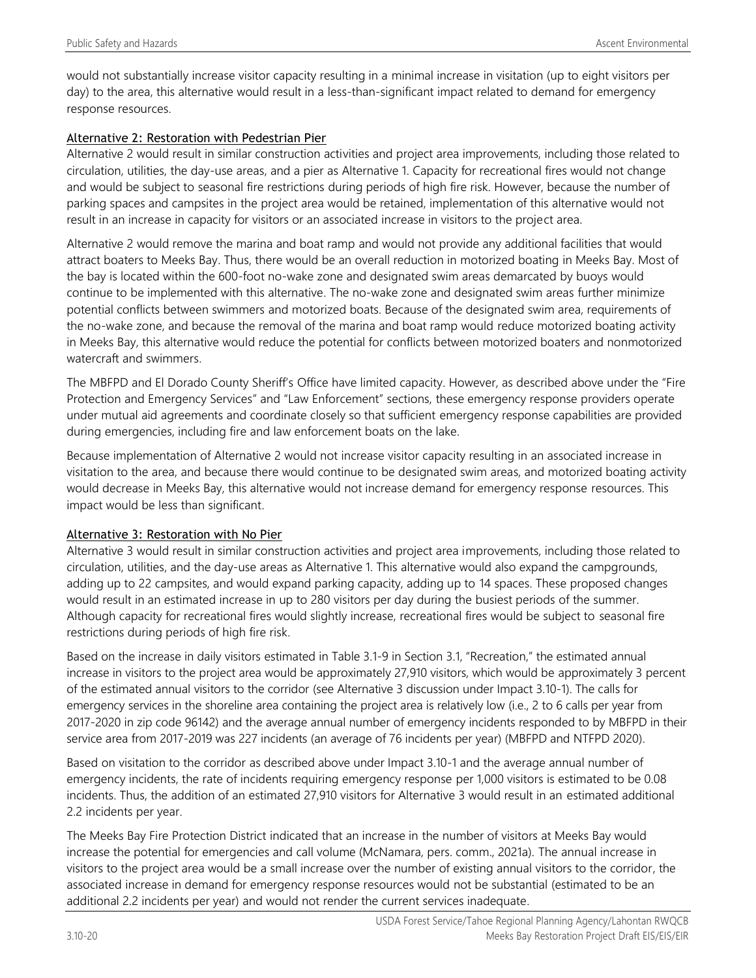would not substantially increase visitor capacity resulting in a minimal increase in visitation (up to eight visitors per day) to the area, this alternative would result in a less-than-significant impact related to demand for emergency response resources.

#### Alternative 2: Restoration with Pedestrian Pier

Alternative 2 would result in similar construction activities and project area improvements, including those related to circulation, utilities, the day-use areas, and a pier as Alternative 1. Capacity for recreational fires would not change and would be subject to seasonal fire restrictions during periods of high fire risk. However, because the number of parking spaces and campsites in the project area would be retained, implementation of this alternative would not result in an increase in capacity for visitors or an associated increase in visitors to the project area.

Alternative 2 would remove the marina and boat ramp and would not provide any additional facilities that would attract boaters to Meeks Bay. Thus, there would be an overall reduction in motorized boating in Meeks Bay. Most of the bay is located within the 600-foot no-wake zone and designated swim areas demarcated by buoys would continue to be implemented with this alternative. The no-wake zone and designated swim areas further minimize potential conflicts between swimmers and motorized boats. Because of the designated swim area, requirements of the no-wake zone, and because the removal of the marina and boat ramp would reduce motorized boating activity in Meeks Bay, this alternative would reduce the potential for conflicts between motorized boaters and nonmotorized watercraft and swimmers.

The MBFPD and El Dorado County Sheriff's Office have limited capacity. However, as described above under the "Fire Protection and Emergency Services" and "Law Enforcement" sections, these emergency response providers operate under mutual aid agreements and coordinate closely so that sufficient emergency response capabilities are provided during emergencies, including fire and law enforcement boats on the lake.

Because implementation of Alternative 2 would not increase visitor capacity resulting in an associated increase in visitation to the area, and because there would continue to be designated swim areas, and motorized boating activity would decrease in Meeks Bay, this alternative would not increase demand for emergency response resources. This impact would be less than significant.

#### Alternative 3: Restoration with No Pier

Alternative 3 would result in similar construction activities and project area improvements, including those related to circulation, utilities, and the day-use areas as Alternative 1. This alternative would also expand the campgrounds, adding up to 22 campsites, and would expand parking capacity, adding up to 14 spaces. These proposed changes would result in an estimated increase in up to 280 visitors per day during the busiest periods of the summer. Although capacity for recreational fires would slightly increase, recreational fires would be subject to seasonal fire restrictions during periods of high fire risk.

Based on the increase in daily visitors estimated in Table 3.1-9 in Section 3.1, "Recreation," the estimated annual increase in visitors to the project area would be approximately 27,910 visitors, which would be approximately 3 percent of the estimated annual visitors to the corridor (see Alternative 3 discussion under Impact 3.10-1). The calls for emergency services in the shoreline area containing the project area is relatively low (i.e., 2 to 6 calls per year from 2017-2020 in zip code 96142) and the average annual number of emergency incidents responded to by MBFPD in their service area from 2017-2019 was 227 incidents (an average of 76 incidents per year) (MBFPD and NTFPD 2020).

Based on visitation to the corridor as described above under Impact 3.10-1 and the average annual number of emergency incidents, the rate of incidents requiring emergency response per 1,000 visitors is estimated to be 0.08 incidents. Thus, the addition of an estimated 27,910 visitors for Alternative 3 would result in an estimated additional 2.2 incidents per year.

The Meeks Bay Fire Protection District indicated that an increase in the number of visitors at Meeks Bay would increase the potential for emergencies and call volume (McNamara, pers. comm., 2021a). The annual increase in visitors to the project area would be a small increase over the number of existing annual visitors to the corridor, the associated increase in demand for emergency response resources would not be substantial (estimated to be an additional 2.2 incidents per year) and would not render the current services inadequate.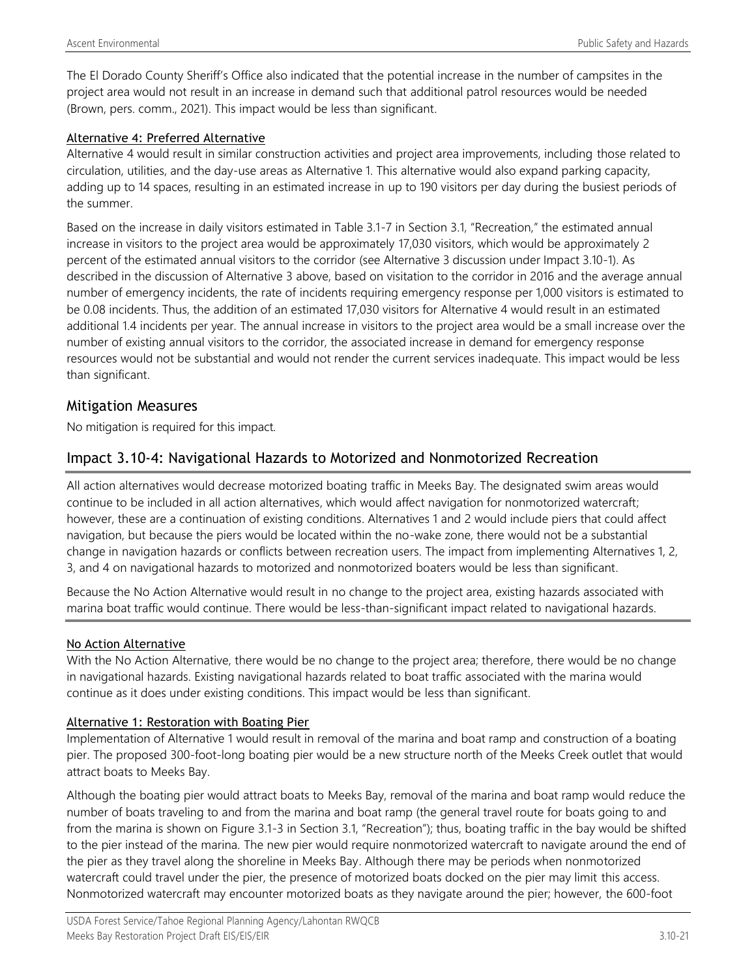The El Dorado County Sheriff's Office also indicated that the potential increase in the number of campsites in the project area would not result in an increase in demand such that additional patrol resources would be needed (Brown, pers. comm., 2021). This impact would be less than significant.

#### Alternative 4: Preferred Alternative

Alternative 4 would result in similar construction activities and project area improvements, including those related to circulation, utilities, and the day-use areas as Alternative 1. This alternative would also expand parking capacity, adding up to 14 spaces, resulting in an estimated increase in up to 190 visitors per day during the busiest periods of the summer.

Based on the increase in daily visitors estimated in Table 3.1-7 in Section 3.1, "Recreation," the estimated annual increase in visitors to the project area would be approximately 17,030 visitors, which would be approximately 2 percent of the estimated annual visitors to the corridor (see Alternative 3 discussion under Impact 3.10-1). As described in the discussion of Alternative 3 above, based on visitation to the corridor in 2016 and the average annual number of emergency incidents, the rate of incidents requiring emergency response per 1,000 visitors is estimated to be 0.08 incidents. Thus, the addition of an estimated 17,030 visitors for Alternative 4 would result in an estimated additional 1.4 incidents per year. The annual increase in visitors to the project area would be a small increase over the number of existing annual visitors to the corridor, the associated increase in demand for emergency response resources would not be substantial and would not render the current services inadequate. This impact would be less than significant.

#### Mitigation Measures

No mitigation is required for this impact.

## Impact 3.10-4: Navigational Hazards to Motorized and Nonmotorized Recreation

All action alternatives would decrease motorized boating traffic in Meeks Bay. The designated swim areas would continue to be included in all action alternatives, which would affect navigation for nonmotorized watercraft; however, these are a continuation of existing conditions. Alternatives 1 and 2 would include piers that could affect navigation, but because the piers would be located within the no-wake zone, there would not be a substantial change in navigation hazards or conflicts between recreation users. The impact from implementing Alternatives 1, 2, 3, and 4 on navigational hazards to motorized and nonmotorized boaters would be less than significant.

Because the No Action Alternative would result in no change to the project area, existing hazards associated with marina boat traffic would continue. There would be less-than-significant impact related to navigational hazards.

#### No Action Alternative

With the No Action Alternative, there would be no change to the project area; therefore, there would be no change in navigational hazards. Existing navigational hazards related to boat traffic associated with the marina would continue as it does under existing conditions. This impact would be less than significant.

#### Alternative 1: Restoration with Boating Pier

Implementation of Alternative 1 would result in removal of the marina and boat ramp and construction of a boating pier. The proposed 300-foot-long boating pier would be a new structure north of the Meeks Creek outlet that would attract boats to Meeks Bay.

Although the boating pier would attract boats to Meeks Bay, removal of the marina and boat ramp would reduce the number of boats traveling to and from the marina and boat ramp (the general travel route for boats going to and from the marina is shown on Figure 3.1-3 in Section 3.1, "Recreation"); thus, boating traffic in the bay would be shifted to the pier instead of the marina. The new pier would require nonmotorized watercraft to navigate around the end of the pier as they travel along the shoreline in Meeks Bay. Although there may be periods when nonmotorized watercraft could travel under the pier, the presence of motorized boats docked on the pier may limit this access. Nonmotorized watercraft may encounter motorized boats as they navigate around the pier; however, the 600-foot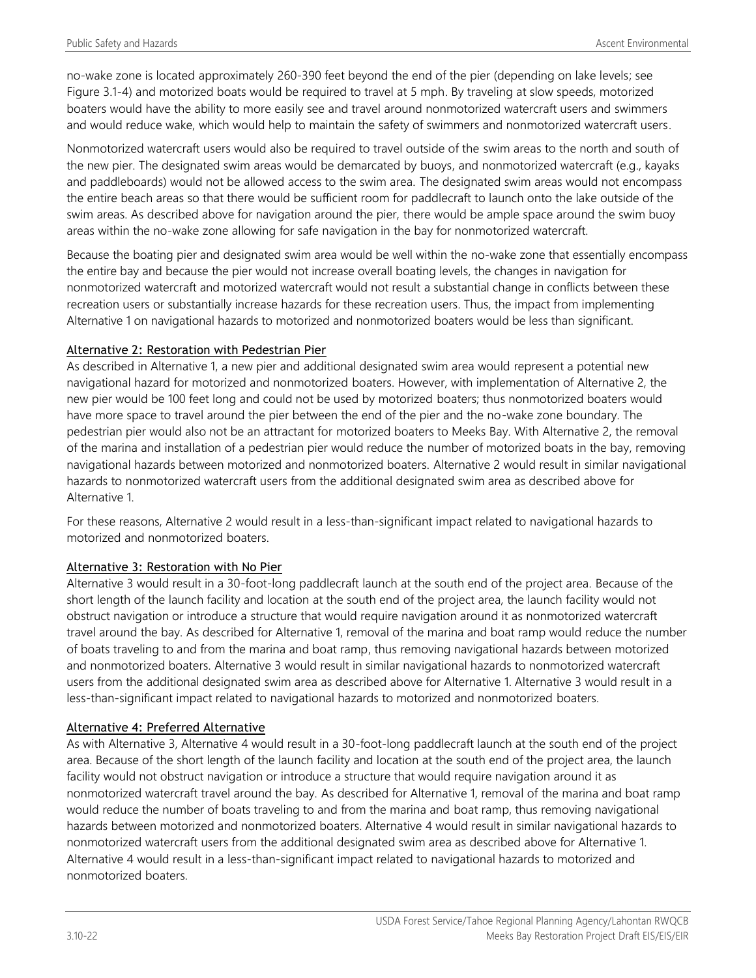no-wake zone is located approximately 260-390 feet beyond the end of the pier (depending on lake levels; see Figure 3.1-4) and motorized boats would be required to travel at 5 mph. By traveling at slow speeds, motorized boaters would have the ability to more easily see and travel around nonmotorized watercraft users and swimmers and would reduce wake, which would help to maintain the safety of swimmers and nonmotorized watercraft users.

Nonmotorized watercraft users would also be required to travel outside of the swim areas to the north and south of the new pier. The designated swim areas would be demarcated by buoys, and nonmotorized watercraft (e.g., kayaks and paddleboards) would not be allowed access to the swim area. The designated swim areas would not encompass the entire beach areas so that there would be sufficient room for paddlecraft to launch onto the lake outside of the swim areas. As described above for navigation around the pier, there would be ample space around the swim buoy areas within the no-wake zone allowing for safe navigation in the bay for nonmotorized watercraft.

Because the boating pier and designated swim area would be well within the no-wake zone that essentially encompass the entire bay and because the pier would not increase overall boating levels, the changes in navigation for nonmotorized watercraft and motorized watercraft would not result a substantial change in conflicts between these recreation users or substantially increase hazards for these recreation users. Thus, the impact from implementing Alternative 1 on navigational hazards to motorized and nonmotorized boaters would be less than significant.

#### Alternative 2: Restoration with Pedestrian Pier

As described in Alternative 1, a new pier and additional designated swim area would represent a potential new navigational hazard for motorized and nonmotorized boaters. However, with implementation of Alternative 2, the new pier would be 100 feet long and could not be used by motorized boaters; thus nonmotorized boaters would have more space to travel around the pier between the end of the pier and the no-wake zone boundary. The pedestrian pier would also not be an attractant for motorized boaters to Meeks Bay. With Alternative 2, the removal of the marina and installation of a pedestrian pier would reduce the number of motorized boats in the bay, removing navigational hazards between motorized and nonmotorized boaters. Alternative 2 would result in similar navigational hazards to nonmotorized watercraft users from the additional designated swim area as described above for Alternative 1.

For these reasons, Alternative 2 would result in a less-than-significant impact related to navigational hazards to motorized and nonmotorized boaters.

#### Alternative 3: Restoration with No Pier

Alternative 3 would result in a 30-foot-long paddlecraft launch at the south end of the project area. Because of the short length of the launch facility and location at the south end of the project area, the launch facility would not obstruct navigation or introduce a structure that would require navigation around it as nonmotorized watercraft travel around the bay. As described for Alternative 1, removal of the marina and boat ramp would reduce the number of boats traveling to and from the marina and boat ramp, thus removing navigational hazards between motorized and nonmotorized boaters. Alternative 3 would result in similar navigational hazards to nonmotorized watercraft users from the additional designated swim area as described above for Alternative 1. Alternative 3 would result in a less-than-significant impact related to navigational hazards to motorized and nonmotorized boaters.

#### Alternative 4: Preferred Alternative

As with Alternative 3, Alternative 4 would result in a 30-foot-long paddlecraft launch at the south end of the project area. Because of the short length of the launch facility and location at the south end of the project area, the launch facility would not obstruct navigation or introduce a structure that would require navigation around it as nonmotorized watercraft travel around the bay. As described for Alternative 1, removal of the marina and boat ramp would reduce the number of boats traveling to and from the marina and boat ramp, thus removing navigational hazards between motorized and nonmotorized boaters. Alternative 4 would result in similar navigational hazards to nonmotorized watercraft users from the additional designated swim area as described above for Alternative 1. Alternative 4 would result in a less-than-significant impact related to navigational hazards to motorized and nonmotorized boaters.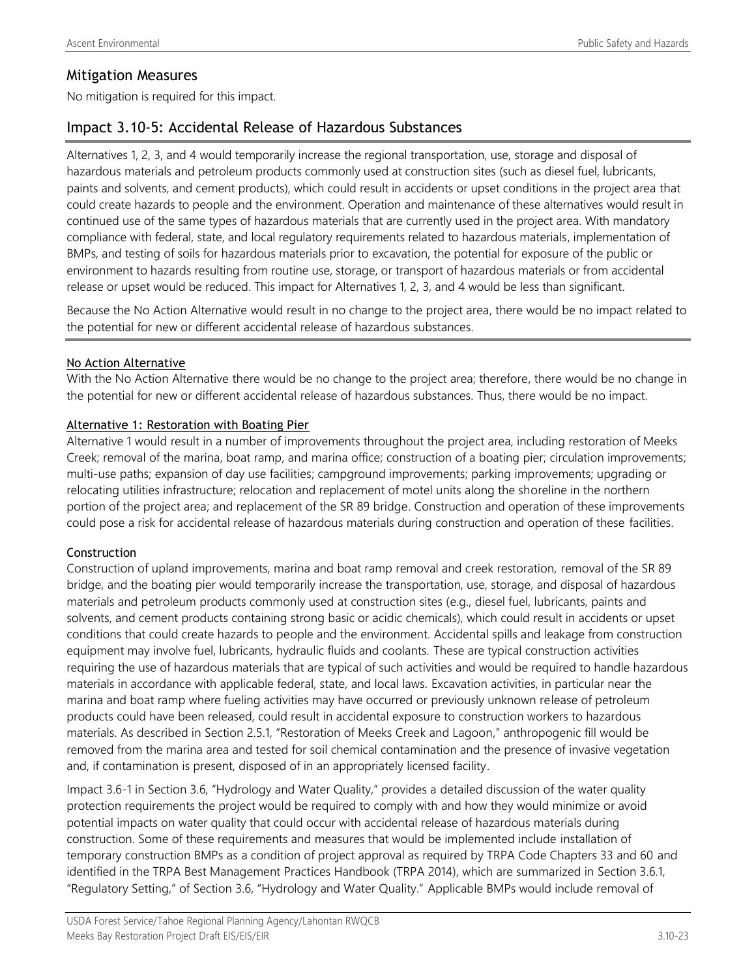### Mitigation Measures

No mitigation is required for this impact.

## Impact 3.10-5: Accidental Release of Hazardous Substances

Alternatives 1, 2, 3, and 4 would temporarily increase the regional transportation, use, storage and disposal of hazardous materials and petroleum products commonly used at construction sites (such as diesel fuel, lubricants, paints and solvents, and cement products), which could result in accidents or upset conditions in the project area that could create hazards to people and the environment. Operation and maintenance of these alternatives would result in continued use of the same types of hazardous materials that are currently used in the project area. With mandatory compliance with federal, state, and local regulatory requirements related to hazardous materials, implementation of BMPs, and testing of soils for hazardous materials prior to excavation, the potential for exposure of the public or environment to hazards resulting from routine use, storage, or transport of hazardous materials or from accidental release or upset would be reduced. This impact for Alternatives 1, 2, 3, and 4 would be less than significant.

Because the No Action Alternative would result in no change to the project area, there would be no impact related to the potential for new or different accidental release of hazardous substances.

#### No Action Alternative

With the No Action Alternative there would be no change to the project area; therefore, there would be no change in the potential for new or different accidental release of hazardous substances. Thus, there would be no impact.

#### Alternative 1: Restoration with Boating Pier

Alternative 1 would result in a number of improvements throughout the project area, including restoration of Meeks Creek; removal of the marina, boat ramp, and marina office; construction of a boating pier; circulation improvements; multi-use paths; expansion of day use facilities; campground improvements; parking improvements; upgrading or relocating utilities infrastructure; relocation and replacement of motel units along the shoreline in the northern portion of the project area; and replacement of the SR 89 bridge. Construction and operation of these improvements could pose a risk for accidental release of hazardous materials during construction and operation of these facilities.

#### Construction

Construction of upland improvements, marina and boat ramp removal and creek restoration, removal of the SR 89 bridge, and the boating pier would temporarily increase the transportation, use, storage, and disposal of hazardous materials and petroleum products commonly used at construction sites (e.g., diesel fuel, lubricants, paints and solvents, and cement products containing strong basic or acidic chemicals), which could result in accidents or upset conditions that could create hazards to people and the environment. Accidental spills and leakage from construction equipment may involve fuel, lubricants, hydraulic fluids and coolants. These are typical construction activities requiring the use of hazardous materials that are typical of such activities and would be required to handle hazardous materials in accordance with applicable federal, state, and local laws. Excavation activities, in particular near the marina and boat ramp where fueling activities may have occurred or previously unknown release of petroleum products could have been released, could result in accidental exposure to construction workers to hazardous materials. As described in Section 2.5.1, "Restoration of Meeks Creek and Lagoon," anthropogenic fill would be removed from the marina area and tested for soil chemical contamination and the presence of invasive vegetation and, if contamination is present, disposed of in an appropriately licensed facility.

Impact 3.6-1 in Section 3.6, "Hydrology and Water Quality," provides a detailed discussion of the water quality protection requirements the project would be required to comply with and how they would minimize or avoid potential impacts on water quality that could occur with accidental release of hazardous materials during construction. Some of these requirements and measures that would be implemented include installation of temporary construction BMPs as a condition of project approval as required by TRPA Code Chapters 33 and 60 and identified in the TRPA Best Management Practices Handbook (TRPA 2014), which are summarized in Section 3.6.1, "Regulatory Setting," of Section 3.6, "Hydrology and Water Quality." Applicable BMPs would include removal of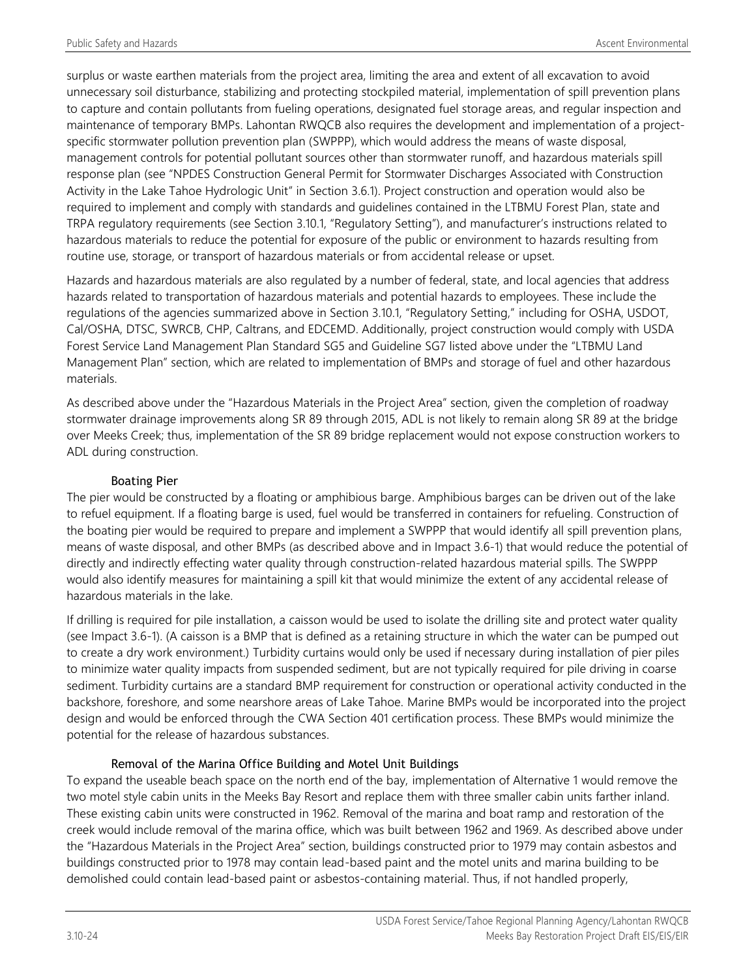surplus or waste earthen materials from the project area, limiting the area and extent of all excavation to avoid unnecessary soil disturbance, stabilizing and protecting stockpiled material, implementation of spill prevention plans to capture and contain pollutants from fueling operations, designated fuel storage areas, and regular inspection and maintenance of temporary BMPs. Lahontan RWQCB also requires the development and implementation of a projectspecific stormwater pollution prevention plan (SWPPP), which would address the means of waste disposal, management controls for potential pollutant sources other than stormwater runoff, and hazardous materials spill response plan (see "NPDES Construction General Permit for Stormwater Discharges Associated with Construction Activity in the Lake Tahoe Hydrologic Unit" in Section 3.6.1). Project construction and operation would also be required to implement and comply with standards and guidelines contained in the LTBMU Forest Plan, state and TRPA regulatory requirements (see Section 3.10.1, "Regulatory Setting"), and manufacturer's instructions related to hazardous materials to reduce the potential for exposure of the public or environment to hazards resulting from routine use, storage, or transport of hazardous materials or from accidental release or upset.

Hazards and hazardous materials are also regulated by a number of federal, state, and local agencies that address hazards related to transportation of hazardous materials and potential hazards to employees. These include the regulations of the agencies summarized above in Section 3.10.1, "Regulatory Setting," including for OSHA, USDOT, Cal/OSHA, DTSC, SWRCB, CHP, Caltrans, and EDCEMD. Additionally, project construction would comply with USDA Forest Service Land Management Plan Standard SG5 and Guideline SG7 listed above under the "LTBMU Land Management Plan" section, which are related to implementation of BMPs and storage of fuel and other hazardous materials.

As described above under the "Hazardous Materials in the Project Area" section, given the completion of roadway stormwater drainage improvements along SR 89 through 2015, ADL is not likely to remain along SR 89 at the bridge over Meeks Creek; thus, implementation of the SR 89 bridge replacement would not expose construction workers to ADL during construction.

#### Boating Pier

The pier would be constructed by a floating or amphibious barge. Amphibious barges can be driven out of the lake to refuel equipment. If a floating barge is used, fuel would be transferred in containers for refueling. Construction of the boating pier would be required to prepare and implement a SWPPP that would identify all spill prevention plans, means of waste disposal, and other BMPs (as described above and in Impact 3.6-1) that would reduce the potential of directly and indirectly effecting water quality through construction-related hazardous material spills. The SWPPP would also identify measures for maintaining a spill kit that would minimize the extent of any accidental release of hazardous materials in the lake.

If drilling is required for pile installation, a caisson would be used to isolate the drilling site and protect water quality (see Impact 3.6-1). (A caisson is a BMP that is defined as a retaining structure in which the water can be pumped out to create a dry work environment.) Turbidity curtains would only be used if necessary during installation of pier piles to minimize water quality impacts from suspended sediment, but are not typically required for pile driving in coarse sediment. Turbidity curtains are a standard BMP requirement for construction or operational activity conducted in the backshore, foreshore, and some nearshore areas of Lake Tahoe. Marine BMPs would be incorporated into the project design and would be enforced through the CWA Section 401 certification process. These BMPs would minimize the potential for the release of hazardous substances.

### Removal of the Marina Office Building and Motel Unit Buildings

To expand the useable beach space on the north end of the bay, implementation of Alternative 1 would remove the two motel style cabin units in the Meeks Bay Resort and replace them with three smaller cabin units farther inland. These existing cabin units were constructed in 1962. Removal of the marina and boat ramp and restoration of the creek would include removal of the marina office, which was built between 1962 and 1969. As described above under the "Hazardous Materials in the Project Area" section, buildings constructed prior to 1979 may contain asbestos and buildings constructed prior to 1978 may contain lead-based paint and the motel units and marina building to be demolished could contain lead-based paint or asbestos-containing material. Thus, if not handled properly,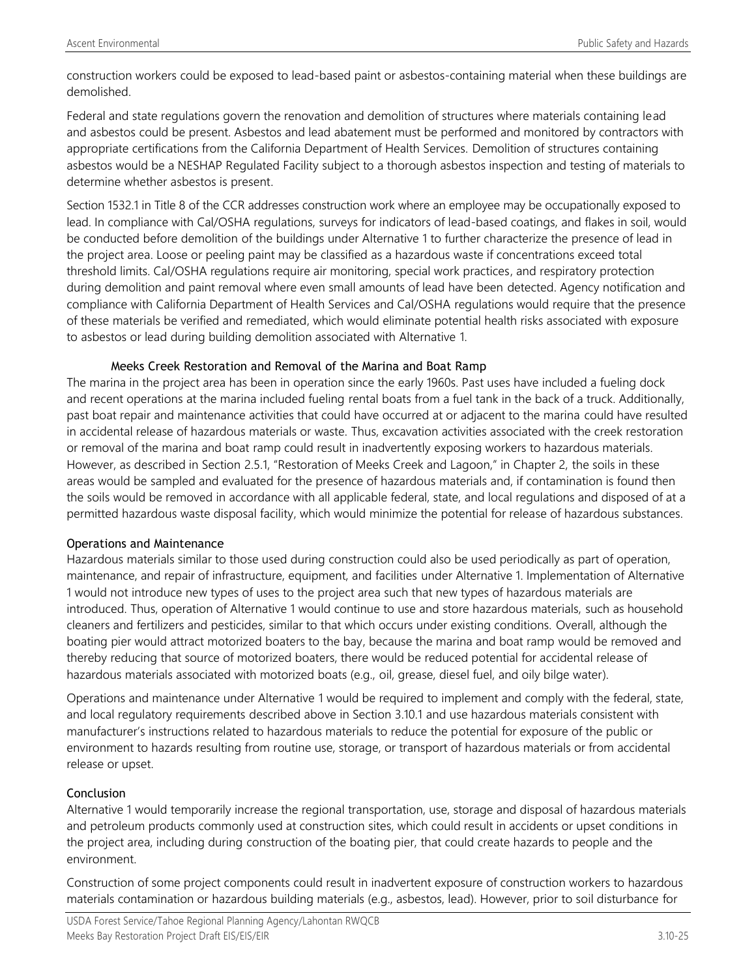construction workers could be exposed to lead-based paint or asbestos-containing material when these buildings are demolished.

Federal and state regulations govern the renovation and demolition of structures where materials containing lead and asbestos could be present. Asbestos and lead abatement must be performed and monitored by contractors with appropriate certifications from the California Department of Health Services. Demolition of structures containing asbestos would be a NESHAP Regulated Facility subject to a thorough asbestos inspection and testing of materials to determine whether asbestos is present.

Section 1532.1 in Title 8 of the CCR addresses construction work where an employee may be occupationally exposed to lead. In compliance with Cal/OSHA regulations, surveys for indicators of lead-based coatings, and flakes in soil, would be conducted before demolition of the buildings under Alternative 1 to further characterize the presence of lead in the project area. Loose or peeling paint may be classified as a hazardous waste if concentrations exceed total threshold limits. Cal/OSHA regulations require air monitoring, special work practices, and respiratory protection during demolition and paint removal where even small amounts of lead have been detected. Agency notification and compliance with California Department of Health Services and Cal/OSHA regulations would require that the presence of these materials be verified and remediated, which would eliminate potential health risks associated with exposure to asbestos or lead during building demolition associated with Alternative 1.

#### Meeks Creek Restoration and Removal of the Marina and Boat Ramp

The marina in the project area has been in operation since the early 1960s. Past uses have included a fueling dock and recent operations at the marina included fueling rental boats from a fuel tank in the back of a truck. Additionally, past boat repair and maintenance activities that could have occurred at or adjacent to the marina could have resulted in accidental release of hazardous materials or waste. Thus, excavation activities associated with the creek restoration or removal of the marina and boat ramp could result in inadvertently exposing workers to hazardous materials. However, as described in Section 2.5.1, "Restoration of Meeks Creek and Lagoon," in Chapter 2, the soils in these areas would be sampled and evaluated for the presence of hazardous materials and, if contamination is found then the soils would be removed in accordance with all applicable federal, state, and local regulations and disposed of at a permitted hazardous waste disposal facility, which would minimize the potential for release of hazardous substances.

#### Operations and Maintenance

Hazardous materials similar to those used during construction could also be used periodically as part of operation, maintenance, and repair of infrastructure, equipment, and facilities under Alternative 1. Implementation of Alternative 1 would not introduce new types of uses to the project area such that new types of hazardous materials are introduced. Thus, operation of Alternative 1 would continue to use and store hazardous materials, such as household cleaners and fertilizers and pesticides, similar to that which occurs under existing conditions. Overall, although the boating pier would attract motorized boaters to the bay, because the marina and boat ramp would be removed and thereby reducing that source of motorized boaters, there would be reduced potential for accidental release of hazardous materials associated with motorized boats (e.g., oil, grease, diesel fuel, and oily bilge water).

Operations and maintenance under Alternative 1 would be required to implement and comply with the federal, state, and local regulatory requirements described above in Section 3.10.1 and use hazardous materials consistent with manufacturer's instructions related to hazardous materials to reduce the potential for exposure of the public or environment to hazards resulting from routine use, storage, or transport of hazardous materials or from accidental release or upset.

#### Conclusion

Alternative 1 would temporarily increase the regional transportation, use, storage and disposal of hazardous materials and petroleum products commonly used at construction sites, which could result in accidents or upset conditions in the project area, including during construction of the boating pier, that could create hazards to people and the environment.

Construction of some project components could result in inadvertent exposure of construction workers to hazardous materials contamination or hazardous building materials (e.g., asbestos, lead). However, prior to soil disturbance for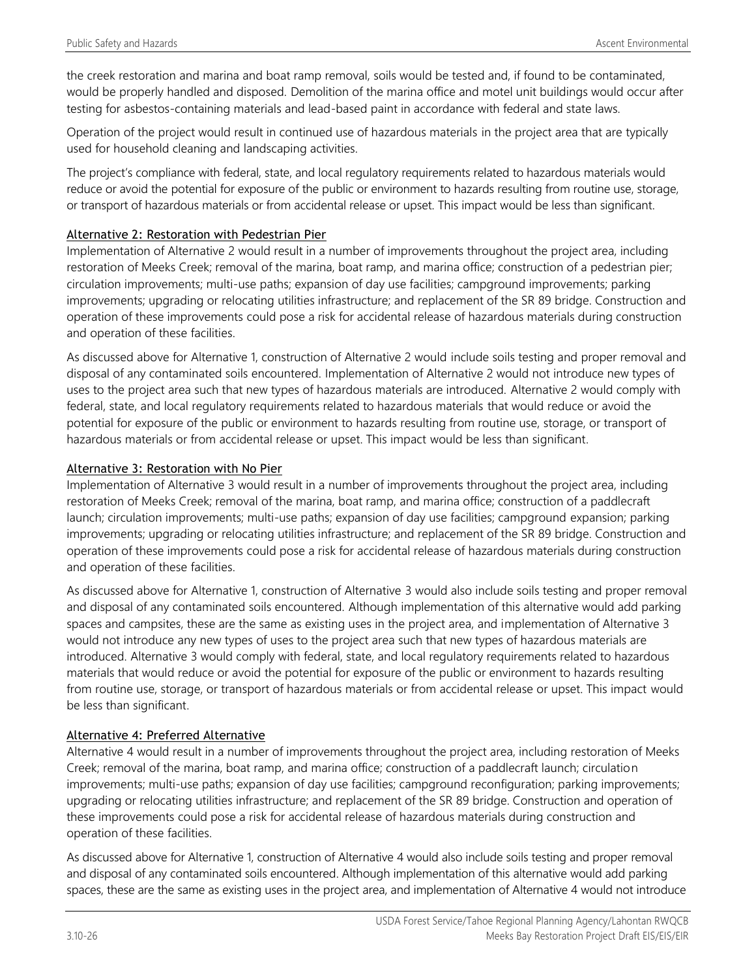the creek restoration and marina and boat ramp removal, soils would be tested and, if found to be contaminated, would be properly handled and disposed. Demolition of the marina office and motel unit buildings would occur after testing for asbestos-containing materials and lead-based paint in accordance with federal and state laws.

Operation of the project would result in continued use of hazardous materials in the project area that are typically used for household cleaning and landscaping activities.

The project's compliance with federal, state, and local regulatory requirements related to hazardous materials would reduce or avoid the potential for exposure of the public or environment to hazards resulting from routine use, storage, or transport of hazardous materials or from accidental release or upset. This impact would be less than significant.

#### Alternative 2: Restoration with Pedestrian Pier

Implementation of Alternative 2 would result in a number of improvements throughout the project area, including restoration of Meeks Creek; removal of the marina, boat ramp, and marina office; construction of a pedestrian pier; circulation improvements; multi-use paths; expansion of day use facilities; campground improvements; parking improvements; upgrading or relocating utilities infrastructure; and replacement of the SR 89 bridge. Construction and operation of these improvements could pose a risk for accidental release of hazardous materials during construction and operation of these facilities.

As discussed above for Alternative 1, construction of Alternative 2 would include soils testing and proper removal and disposal of any contaminated soils encountered. Implementation of Alternative 2 would not introduce new types of uses to the project area such that new types of hazardous materials are introduced. Alternative 2 would comply with federal, state, and local regulatory requirements related to hazardous materials that would reduce or avoid the potential for exposure of the public or environment to hazards resulting from routine use, storage, or transport of hazardous materials or from accidental release or upset. This impact would be less than significant.

#### Alternative 3: Restoration with No Pier

Implementation of Alternative 3 would result in a number of improvements throughout the project area, including restoration of Meeks Creek; removal of the marina, boat ramp, and marina office; construction of a paddlecraft launch; circulation improvements; multi-use paths; expansion of day use facilities; campground expansion; parking improvements; upgrading or relocating utilities infrastructure; and replacement of the SR 89 bridge. Construction and operation of these improvements could pose a risk for accidental release of hazardous materials during construction and operation of these facilities.

As discussed above for Alternative 1, construction of Alternative 3 would also include soils testing and proper removal and disposal of any contaminated soils encountered. Although implementation of this alternative would add parking spaces and campsites, these are the same as existing uses in the project area, and implementation of Alternative 3 would not introduce any new types of uses to the project area such that new types of hazardous materials are introduced. Alternative 3 would comply with federal, state, and local regulatory requirements related to hazardous materials that would reduce or avoid the potential for exposure of the public or environment to hazards resulting from routine use, storage, or transport of hazardous materials or from accidental release or upset. This impact would be less than significant.

#### Alternative 4: Preferred Alternative

Alternative 4 would result in a number of improvements throughout the project area, including restoration of Meeks Creek; removal of the marina, boat ramp, and marina office; construction of a paddlecraft launch; circulation improvements; multi-use paths; expansion of day use facilities; campground reconfiguration; parking improvements; upgrading or relocating utilities infrastructure; and replacement of the SR 89 bridge. Construction and operation of these improvements could pose a risk for accidental release of hazardous materials during construction and operation of these facilities.

As discussed above for Alternative 1, construction of Alternative 4 would also include soils testing and proper removal and disposal of any contaminated soils encountered. Although implementation of this alternative would add parking spaces, these are the same as existing uses in the project area, and implementation of Alternative 4 would not introduce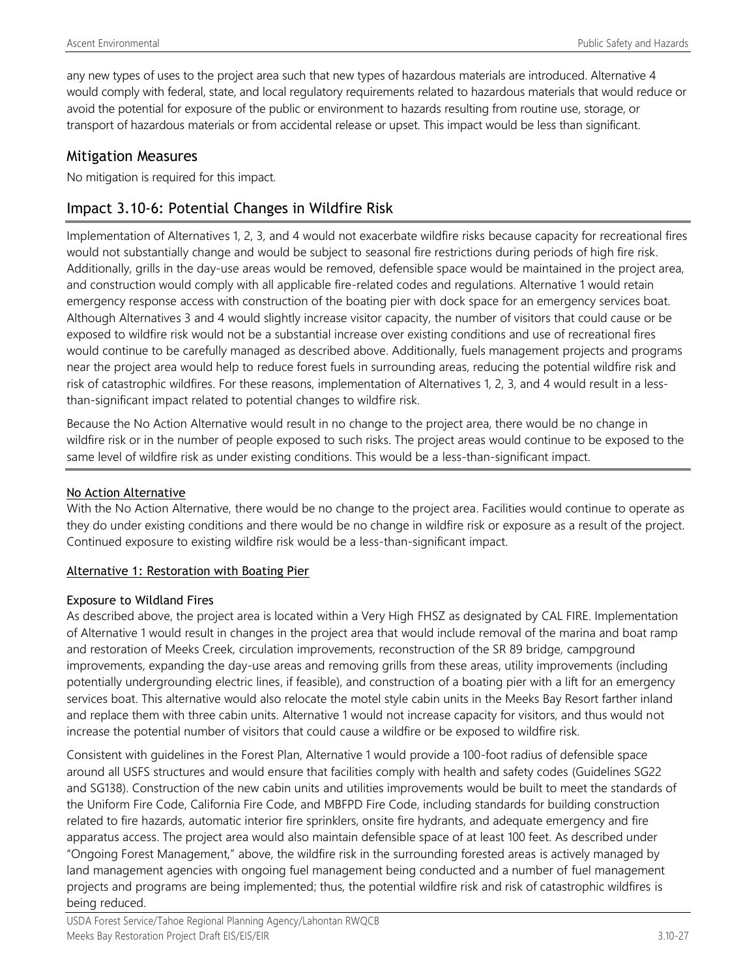any new types of uses to the project area such that new types of hazardous materials are introduced. Alternative 4 would comply with federal, state, and local regulatory requirements related to hazardous materials that would reduce or avoid the potential for exposure of the public or environment to hazards resulting from routine use, storage, or transport of hazardous materials or from accidental release or upset. This impact would be less than significant.

### Mitigation Measures

No mitigation is required for this impact.

## Impact 3.10-6: Potential Changes in Wildfire Risk

Implementation of Alternatives 1, 2, 3, and 4 would not exacerbate wildfire risks because capacity for recreational fires would not substantially change and would be subject to seasonal fire restrictions during periods of high fire risk. Additionally, grills in the day-use areas would be removed, defensible space would be maintained in the project area, and construction would comply with all applicable fire-related codes and regulations. Alternative 1 would retain emergency response access with construction of the boating pier with dock space for an emergency services boat. Although Alternatives 3 and 4 would slightly increase visitor capacity, the number of visitors that could cause or be exposed to wildfire risk would not be a substantial increase over existing conditions and use of recreational fires would continue to be carefully managed as described above. Additionally, fuels management projects and programs near the project area would help to reduce forest fuels in surrounding areas, reducing the potential wildfire risk and risk of catastrophic wildfires. For these reasons, implementation of Alternatives 1, 2, 3, and 4 would result in a lessthan-significant impact related to potential changes to wildfire risk.

Because the No Action Alternative would result in no change to the project area, there would be no change in wildfire risk or in the number of people exposed to such risks. The project areas would continue to be exposed to the same level of wildfire risk as under existing conditions. This would be a less-than-significant impact.

#### No Action Alternative

With the No Action Alternative, there would be no change to the project area. Facilities would continue to operate as they do under existing conditions and there would be no change in wildfire risk or exposure as a result of the project. Continued exposure to existing wildfire risk would be a less-than-significant impact.

#### Alternative 1: Restoration with Boating Pier

#### Exposure to Wildland Fires

As described above, the project area is located within a Very High FHSZ as designated by CAL FIRE. Implementation of Alternative 1 would result in changes in the project area that would include removal of the marina and boat ramp and restoration of Meeks Creek, circulation improvements, reconstruction of the SR 89 bridge, campground improvements, expanding the day-use areas and removing grills from these areas, utility improvements (including potentially undergrounding electric lines, if feasible), and construction of a boating pier with a lift for an emergency services boat. This alternative would also relocate the motel style cabin units in the Meeks Bay Resort farther inland and replace them with three cabin units. Alternative 1 would not increase capacity for visitors, and thus would not increase the potential number of visitors that could cause a wildfire or be exposed to wildfire risk.

Consistent with guidelines in the Forest Plan, Alternative 1 would provide a 100-foot radius of defensible space around all USFS structures and would ensure that facilities comply with health and safety codes (Guidelines SG22 and SG138). Construction of the new cabin units and utilities improvements would be built to meet the standards of the Uniform Fire Code, California Fire Code, and MBFPD Fire Code, including standards for building construction related to fire hazards, automatic interior fire sprinklers, onsite fire hydrants, and adequate emergency and fire apparatus access. The project area would also maintain defensible space of at least 100 feet. As described under "Ongoing Forest Management," above, the wildfire risk in the surrounding forested areas is actively managed by land management agencies with ongoing fuel management being conducted and a number of fuel management projects and programs are being implemented; thus, the potential wildfire risk and risk of catastrophic wildfires is being reduced.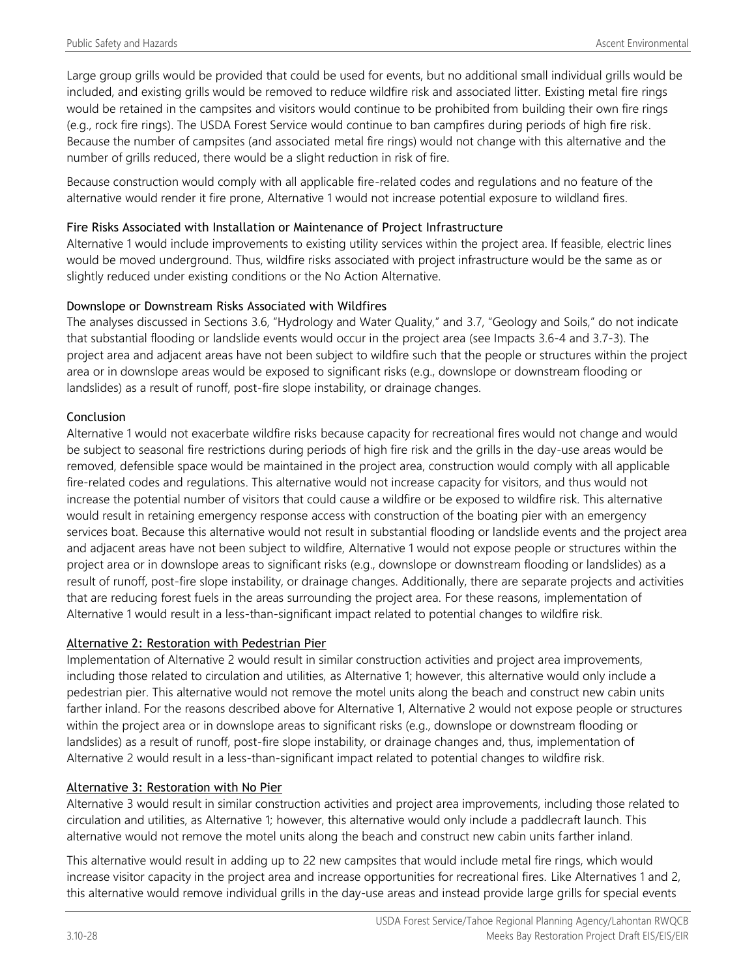Large group grills would be provided that could be used for events, but no additional small individual grills would be included, and existing grills would be removed to reduce wildfire risk and associated litter. Existing metal fire rings would be retained in the campsites and visitors would continue to be prohibited from building their own fire rings (e.g., rock fire rings). The USDA Forest Service would continue to ban campfires during periods of high fire risk. Because the number of campsites (and associated metal fire rings) would not change with this alternative and the number of grills reduced, there would be a slight reduction in risk of fire.

Because construction would comply with all applicable fire-related codes and regulations and no feature of the alternative would render it fire prone, Alternative 1 would not increase potential exposure to wildland fires.

#### Fire Risks Associated with Installation or Maintenance of Project Infrastructure

Alternative 1 would include improvements to existing utility services within the project area. If feasible, electric lines would be moved underground. Thus, wildfire risks associated with project infrastructure would be the same as or slightly reduced under existing conditions or the No Action Alternative.

#### Downslope or Downstream Risks Associated with Wildfires

The analyses discussed in Sections 3.6, "Hydrology and Water Quality," and 3.7, "Geology and Soils," do not indicate that substantial flooding or landslide events would occur in the project area (see Impacts 3.6-4 and 3.7-3). The project area and adjacent areas have not been subject to wildfire such that the people or structures within the project area or in downslope areas would be exposed to significant risks (e.g., downslope or downstream flooding or landslides) as a result of runoff, post-fire slope instability, or drainage changes.

#### Conclusion

Alternative 1 would not exacerbate wildfire risks because capacity for recreational fires would not change and would be subject to seasonal fire restrictions during periods of high fire risk and the grills in the day-use areas would be removed, defensible space would be maintained in the project area, construction would comply with all applicable fire-related codes and regulations. This alternative would not increase capacity for visitors, and thus would not increase the potential number of visitors that could cause a wildfire or be exposed to wildfire risk. This alternative would result in retaining emergency response access with construction of the boating pier with an emergency services boat. Because this alternative would not result in substantial flooding or landslide events and the project area and adjacent areas have not been subject to wildfire, Alternative 1 would not expose people or structures within the project area or in downslope areas to significant risks (e.g., downslope or downstream flooding or landslides) as a result of runoff, post-fire slope instability, or drainage changes. Additionally, there are separate projects and activities that are reducing forest fuels in the areas surrounding the project area. For these reasons, implementation of Alternative 1 would result in a less-than-significant impact related to potential changes to wildfire risk.

#### Alternative 2: Restoration with Pedestrian Pier

Implementation of Alternative 2 would result in similar construction activities and project area improvements, including those related to circulation and utilities, as Alternative 1; however, this alternative would only include a pedestrian pier. This alternative would not remove the motel units along the beach and construct new cabin units farther inland. For the reasons described above for Alternative 1, Alternative 2 would not expose people or structures within the project area or in downslope areas to significant risks (e.g., downslope or downstream flooding or landslides) as a result of runoff, post-fire slope instability, or drainage changes and, thus, implementation of Alternative 2 would result in a less-than-significant impact related to potential changes to wildfire risk.

#### Alternative 3: Restoration with No Pier

Alternative 3 would result in similar construction activities and project area improvements, including those related to circulation and utilities, as Alternative 1; however, this alternative would only include a paddlecraft launch. This alternative would not remove the motel units along the beach and construct new cabin units farther inland.

This alternative would result in adding up to 22 new campsites that would include metal fire rings, which would increase visitor capacity in the project area and increase opportunities for recreational fires. Like Alternatives 1 and 2, this alternative would remove individual grills in the day-use areas and instead provide large grills for special events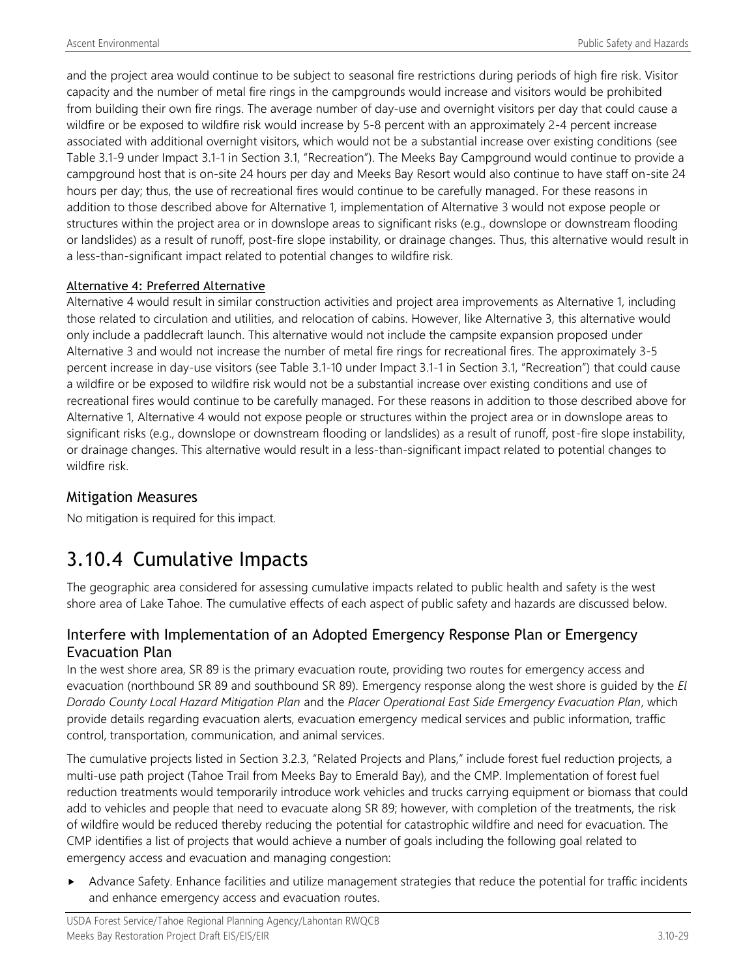and the project area would continue to be subject to seasonal fire restrictions during periods of high fire risk. Visitor capacity and the number of metal fire rings in the campgrounds would increase and visitors would be prohibited from building their own fire rings. The average number of day-use and overnight visitors per day that could cause a wildfire or be exposed to wildfire risk would increase by 5-8 percent with an approximately 2-4 percent increase associated with additional overnight visitors, which would not be a substantial increase over existing conditions (see Table 3.1-9 under Impact 3.1-1 in Section 3.1, "Recreation"). The Meeks Bay Campground would continue to provide a campground host that is on-site 24 hours per day and Meeks Bay Resort would also continue to have staff on-site 24 hours per day; thus, the use of recreational fires would continue to be carefully managed. For these reasons in addition to those described above for Alternative 1, implementation of Alternative 3 would not expose people or structures within the project area or in downslope areas to significant risks (e.g., downslope or downstream flooding or landslides) as a result of runoff, post-fire slope instability, or drainage changes. Thus, this alternative would result in a less-than-significant impact related to potential changes to wildfire risk.

#### Alternative 4: Preferred Alternative

Alternative 4 would result in similar construction activities and project area improvements as Alternative 1, including those related to circulation and utilities, and relocation of cabins. However, like Alternative 3, this alternative would only include a paddlecraft launch. This alternative would not include the campsite expansion proposed under Alternative 3 and would not increase the number of metal fire rings for recreational fires. The approximately 3-5 percent increase in day-use visitors (see Table 3.1-10 under Impact 3.1-1 in Section 3.1, "Recreation") that could cause a wildfire or be exposed to wildfire risk would not be a substantial increase over existing conditions and use of recreational fires would continue to be carefully managed. For these reasons in addition to those described above for Alternative 1, Alternative 4 would not expose people or structures within the project area or in downslope areas to significant risks (e.g., downslope or downstream flooding or landslides) as a result of runoff, post-fire slope instability, or drainage changes. This alternative would result in a less-than-significant impact related to potential changes to wildfire risk.

## Mitigation Measures

No mitigation is required for this impact.

# 3.10.4 Cumulative Impacts

The geographic area considered for assessing cumulative impacts related to public health and safety is the west shore area of Lake Tahoe. The cumulative effects of each aspect of public safety and hazards are discussed below.

## Interfere with Implementation of an Adopted Emergency Response Plan or Emergency Evacuation Plan

In the west shore area, SR 89 is the primary evacuation route, providing two routes for emergency access and evacuation (northbound SR 89 and southbound SR 89). Emergency response along the west shore is guided by the *El Dorado County Local Hazard Mitigation Plan* and the *Placer Operational East Side Emergency Evacuation Plan*, which provide details regarding evacuation alerts, evacuation emergency medical services and public information, traffic control, transportation, communication, and animal services.

The cumulative projects listed in Section 3.2.3, "Related Projects and Plans," include forest fuel reduction projects, a multi-use path project (Tahoe Trail from Meeks Bay to Emerald Bay), and the CMP. Implementation of forest fuel reduction treatments would temporarily introduce work vehicles and trucks carrying equipment or biomass that could add to vehicles and people that need to evacuate along SR 89; however, with completion of the treatments, the risk of wildfire would be reduced thereby reducing the potential for catastrophic wildfire and need for evacuation. The CMP identifies a list of projects that would achieve a number of goals including the following goal related to emergency access and evacuation and managing congestion:

 Advance Safety. Enhance facilities and utilize management strategies that reduce the potential for traffic incidents and enhance emergency access and evacuation routes.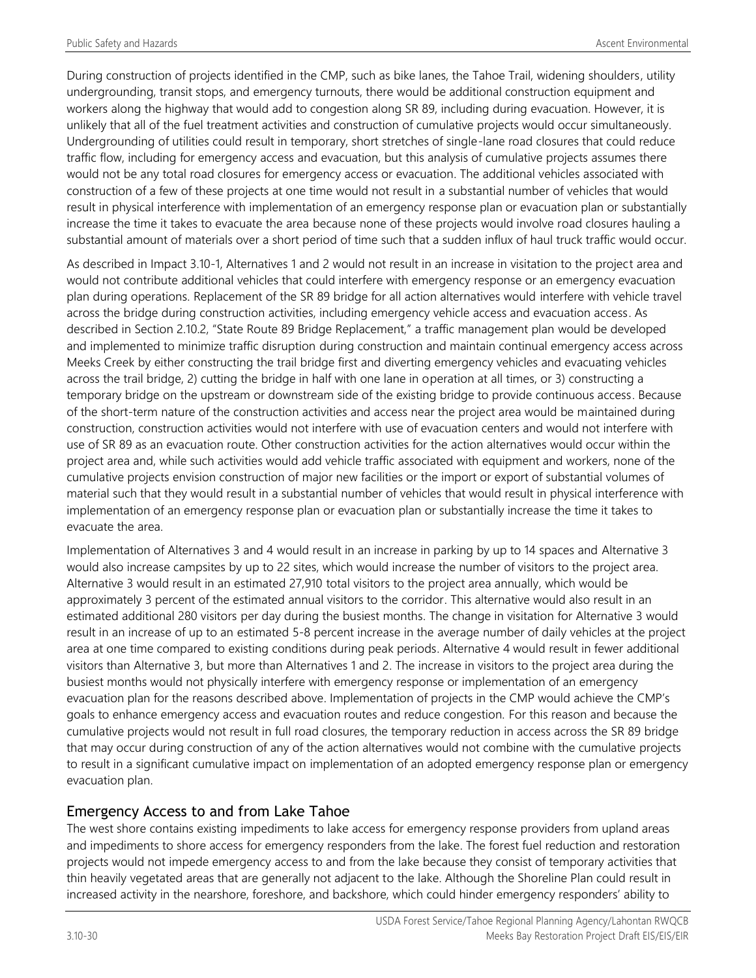During construction of projects identified in the CMP, such as bike lanes, the Tahoe Trail, widening shoulders, utility undergrounding, transit stops, and emergency turnouts, there would be additional construction equipment and workers along the highway that would add to congestion along SR 89, including during evacuation. However, it is unlikely that all of the fuel treatment activities and construction of cumulative projects would occur simultaneously. Undergrounding of utilities could result in temporary, short stretches of single-lane road closures that could reduce traffic flow, including for emergency access and evacuation, but this analysis of cumulative projects assumes there would not be any total road closures for emergency access or evacuation. The additional vehicles associated with construction of a few of these projects at one time would not result in a substantial number of vehicles that would result in physical interference with implementation of an emergency response plan or evacuation plan or substantially increase the time it takes to evacuate the area because none of these projects would involve road closures hauling a substantial amount of materials over a short period of time such that a sudden influx of haul truck traffic would occur.

As described in Impact 3.10-1, Alternatives 1 and 2 would not result in an increase in visitation to the project area and would not contribute additional vehicles that could interfere with emergency response or an emergency evacuation plan during operations. Replacement of the SR 89 bridge for all action alternatives would interfere with vehicle travel across the bridge during construction activities, including emergency vehicle access and evacuation access. As described in Section 2.10.2, "State Route 89 Bridge Replacement," a traffic management plan would be developed and implemented to minimize traffic disruption during construction and maintain continual emergency access across Meeks Creek by either constructing the trail bridge first and diverting emergency vehicles and evacuating vehicles across the trail bridge, 2) cutting the bridge in half with one lane in operation at all times, or 3) constructing a temporary bridge on the upstream or downstream side of the existing bridge to provide continuous access. Because of the short-term nature of the construction activities and access near the project area would be maintained during construction, construction activities would not interfere with use of evacuation centers and would not interfere with use of SR 89 as an evacuation route. Other construction activities for the action alternatives would occur within the project area and, while such activities would add vehicle traffic associated with equipment and workers, none of the cumulative projects envision construction of major new facilities or the import or export of substantial volumes of material such that they would result in a substantial number of vehicles that would result in physical interference with implementation of an emergency response plan or evacuation plan or substantially increase the time it takes to evacuate the area.

Implementation of Alternatives 3 and 4 would result in an increase in parking by up to 14 spaces and Alternative 3 would also increase campsites by up to 22 sites, which would increase the number of visitors to the project area. Alternative 3 would result in an estimated 27,910 total visitors to the project area annually, which would be approximately 3 percent of the estimated annual visitors to the corridor. This alternative would also result in an estimated additional 280 visitors per day during the busiest months. The change in visitation for Alternative 3 would result in an increase of up to an estimated 5-8 percent increase in the average number of daily vehicles at the project area at one time compared to existing conditions during peak periods. Alternative 4 would result in fewer additional visitors than Alternative 3, but more than Alternatives 1 and 2. The increase in visitors to the project area during the busiest months would not physically interfere with emergency response or implementation of an emergency evacuation plan for the reasons described above. Implementation of projects in the CMP would achieve the CMP's goals to enhance emergency access and evacuation routes and reduce congestion. For this reason and because the cumulative projects would not result in full road closures, the temporary reduction in access across the SR 89 bridge that may occur during construction of any of the action alternatives would not combine with the cumulative projects to result in a significant cumulative impact on implementation of an adopted emergency response plan or emergency evacuation plan.

## Emergency Access to and from Lake Tahoe

The west shore contains existing impediments to lake access for emergency response providers from upland areas and impediments to shore access for emergency responders from the lake. The forest fuel reduction and restoration projects would not impede emergency access to and from the lake because they consist of temporary activities that thin heavily vegetated areas that are generally not adjacent to the lake. Although the Shoreline Plan could result in increased activity in the nearshore, foreshore, and backshore, which could hinder emergency responders' ability to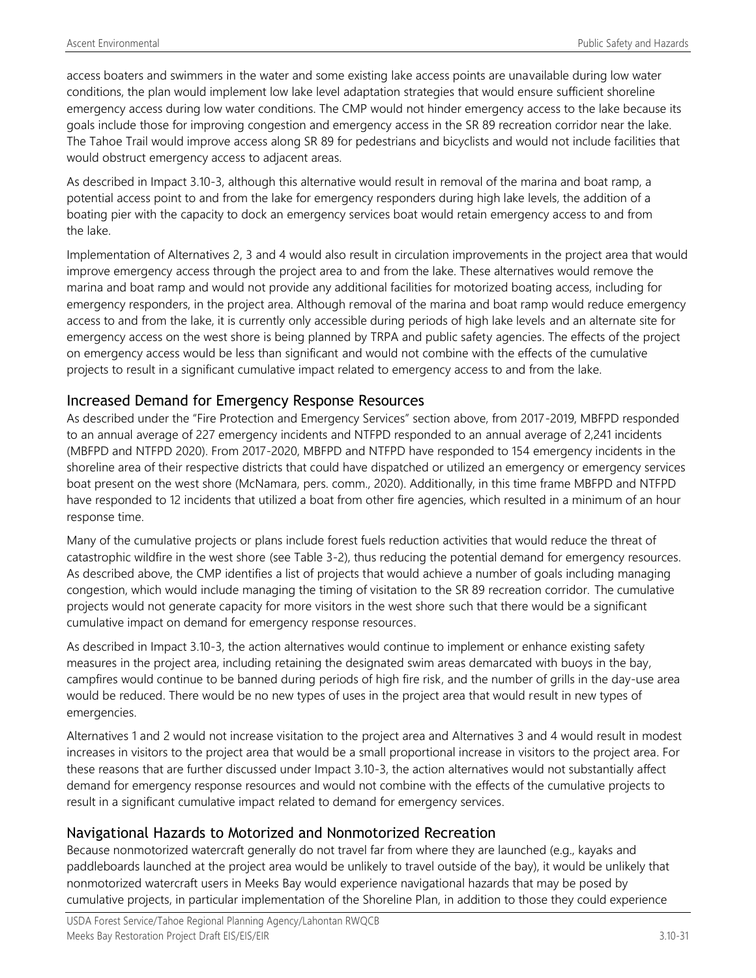access boaters and swimmers in the water and some existing lake access points are unavailable during low water conditions, the plan would implement low lake level adaptation strategies that would ensure sufficient shoreline emergency access during low water conditions. The CMP would not hinder emergency access to the lake because its goals include those for improving congestion and emergency access in the SR 89 recreation corridor near the lake. The Tahoe Trail would improve access along SR 89 for pedestrians and bicyclists and would not include facilities that would obstruct emergency access to adjacent areas.

As described in Impact 3.10-3, although this alternative would result in removal of the marina and boat ramp, a potential access point to and from the lake for emergency responders during high lake levels, the addition of a boating pier with the capacity to dock an emergency services boat would retain emergency access to and from the lake.

Implementation of Alternatives 2, 3 and 4 would also result in circulation improvements in the project area that would improve emergency access through the project area to and from the lake. These alternatives would remove the marina and boat ramp and would not provide any additional facilities for motorized boating access, including for emergency responders, in the project area. Although removal of the marina and boat ramp would reduce emergency access to and from the lake, it is currently only accessible during periods of high lake levels and an alternate site for emergency access on the west shore is being planned by TRPA and public safety agencies. The effects of the project on emergency access would be less than significant and would not combine with the effects of the cumulative projects to result in a significant cumulative impact related to emergency access to and from the lake.

## Increased Demand for Emergency Response Resources

As described under the "Fire Protection and Emergency Services" section above, from 2017-2019, MBFPD responded to an annual average of 227 emergency incidents and NTFPD responded to an annual average of 2,241 incidents (MBFPD and NTFPD 2020). From 2017-2020, MBFPD and NTFPD have responded to 154 emergency incidents in the shoreline area of their respective districts that could have dispatched or utilized an emergency or emergency services boat present on the west shore (McNamara, pers. comm., 2020). Additionally, in this time frame MBFPD and NTFPD have responded to 12 incidents that utilized a boat from other fire agencies, which resulted in a minimum of an hour response time.

Many of the cumulative projects or plans include forest fuels reduction activities that would reduce the threat of catastrophic wildfire in the west shore (see Table 3-2), thus reducing the potential demand for emergency resources. As described above, the CMP identifies a list of projects that would achieve a number of goals including managing congestion, which would include managing the timing of visitation to the SR 89 recreation corridor. The cumulative projects would not generate capacity for more visitors in the west shore such that there would be a significant cumulative impact on demand for emergency response resources.

As described in Impact 3.10-3, the action alternatives would continue to implement or enhance existing safety measures in the project area, including retaining the designated swim areas demarcated with buoys in the bay, campfires would continue to be banned during periods of high fire risk, and the number of grills in the day-use area would be reduced. There would be no new types of uses in the project area that would result in new types of emergencies.

Alternatives 1 and 2 would not increase visitation to the project area and Alternatives 3 and 4 would result in modest increases in visitors to the project area that would be a small proportional increase in visitors to the project area. For these reasons that are further discussed under Impact 3.10-3, the action alternatives would not substantially affect demand for emergency response resources and would not combine with the effects of the cumulative projects to result in a significant cumulative impact related to demand for emergency services.

### Navigational Hazards to Motorized and Nonmotorized Recreation

Because nonmotorized watercraft generally do not travel far from where they are launched (e.g., kayaks and paddleboards launched at the project area would be unlikely to travel outside of the bay), it would be unlikely that nonmotorized watercraft users in Meeks Bay would experience navigational hazards that may be posed by cumulative projects, in particular implementation of the Shoreline Plan, in addition to those they could experience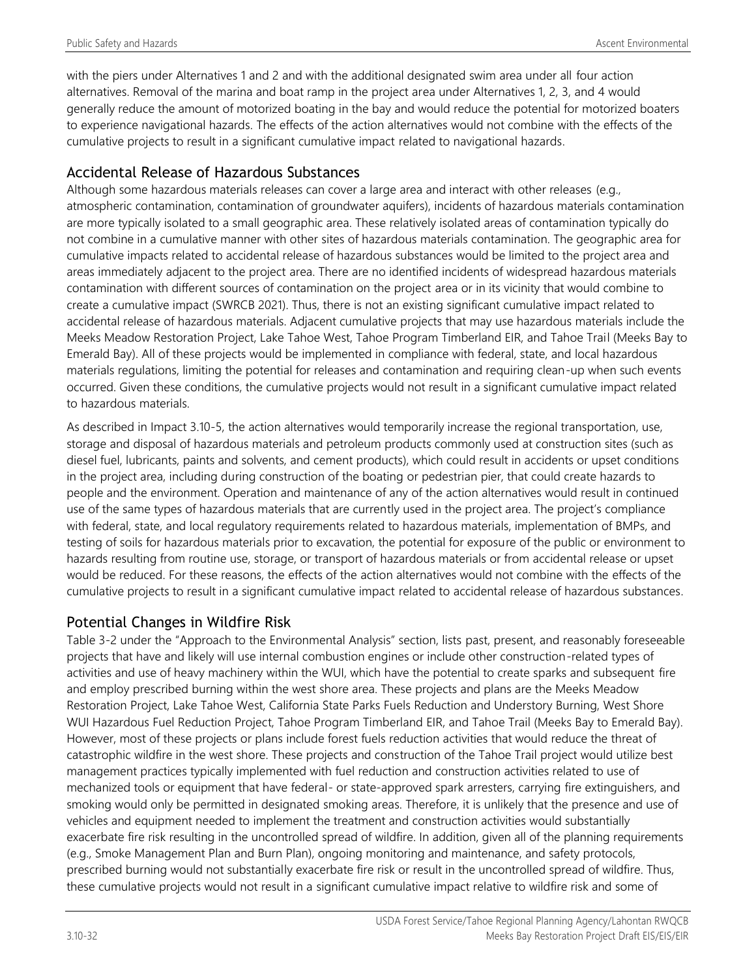with the piers under Alternatives 1 and 2 and with the additional designated swim area under all four action alternatives. Removal of the marina and boat ramp in the project area under Alternatives 1, 2, 3, and 4 would generally reduce the amount of motorized boating in the bay and would reduce the potential for motorized boaters to experience navigational hazards. The effects of the action alternatives would not combine with the effects of the cumulative projects to result in a significant cumulative impact related to navigational hazards.

## Accidental Release of Hazardous Substances

Although some hazardous materials releases can cover a large area and interact with other releases (e.g., atmospheric contamination, contamination of groundwater aquifers), incidents of hazardous materials contamination are more typically isolated to a small geographic area. These relatively isolated areas of contamination typically do not combine in a cumulative manner with other sites of hazardous materials contamination. The geographic area for cumulative impacts related to accidental release of hazardous substances would be limited to the project area and areas immediately adjacent to the project area. There are no identified incidents of widespread hazardous materials contamination with different sources of contamination on the project area or in its vicinity that would combine to create a cumulative impact (SWRCB 2021). Thus, there is not an existing significant cumulative impact related to accidental release of hazardous materials. Adjacent cumulative projects that may use hazardous materials include the Meeks Meadow Restoration Project, Lake Tahoe West, Tahoe Program Timberland EIR, and Tahoe Trail (Meeks Bay to Emerald Bay). All of these projects would be implemented in compliance with federal, state, and local hazardous materials regulations, limiting the potential for releases and contamination and requiring clean-up when such events occurred. Given these conditions, the cumulative projects would not result in a significant cumulative impact related to hazardous materials.

As described in Impact 3.10-5, the action alternatives would temporarily increase the regional transportation, use, storage and disposal of hazardous materials and petroleum products commonly used at construction sites (such as diesel fuel, lubricants, paints and solvents, and cement products), which could result in accidents or upset conditions in the project area, including during construction of the boating or pedestrian pier, that could create hazards to people and the environment. Operation and maintenance of any of the action alternatives would result in continued use of the same types of hazardous materials that are currently used in the project area. The project's compliance with federal, state, and local regulatory requirements related to hazardous materials, implementation of BMPs, and testing of soils for hazardous materials prior to excavation, the potential for exposure of the public or environment to hazards resulting from routine use, storage, or transport of hazardous materials or from accidental release or upset would be reduced. For these reasons, the effects of the action alternatives would not combine with the effects of the cumulative projects to result in a significant cumulative impact related to accidental release of hazardous substances.

### Potential Changes in Wildfire Risk

Table 3-2 under the "Approach to the Environmental Analysis" section, lists past, present, and reasonably foreseeable projects that have and likely will use internal combustion engines or include other construction-related types of activities and use of heavy machinery within the WUI, which have the potential to create sparks and subsequent fire and employ prescribed burning within the west shore area. These projects and plans are the Meeks Meadow Restoration Project, Lake Tahoe West, California State Parks Fuels Reduction and Understory Burning, West Shore WUI Hazardous Fuel Reduction Project, Tahoe Program Timberland EIR, and Tahoe Trail (Meeks Bay to Emerald Bay). However, most of these projects or plans include forest fuels reduction activities that would reduce the threat of catastrophic wildfire in the west shore. These projects and construction of the Tahoe Trail project would utilize best management practices typically implemented with fuel reduction and construction activities related to use of mechanized tools or equipment that have federal- or state-approved spark arresters, carrying fire extinguishers, and smoking would only be permitted in designated smoking areas. Therefore, it is unlikely that the presence and use of vehicles and equipment needed to implement the treatment and construction activities would substantially exacerbate fire risk resulting in the uncontrolled spread of wildfire. In addition, given all of the planning requirements (e.g., Smoke Management Plan and Burn Plan), ongoing monitoring and maintenance, and safety protocols, prescribed burning would not substantially exacerbate fire risk or result in the uncontrolled spread of wildfire. Thus, these cumulative projects would not result in a significant cumulative impact relative to wildfire risk and some of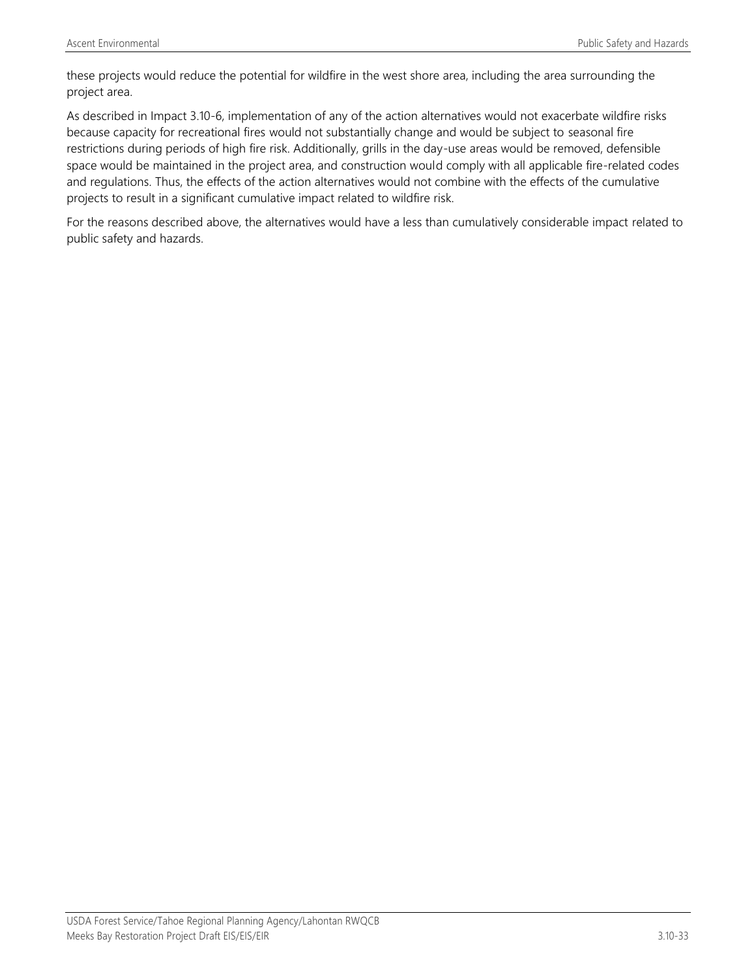these projects would reduce the potential for wildfire in the west shore area, including the area surrounding the project area.

As described in Impact 3.10-6, implementation of any of the action alternatives would not exacerbate wildfire risks because capacity for recreational fires would not substantially change and would be subject to seasonal fire restrictions during periods of high fire risk. Additionally, grills in the day-use areas would be removed, defensible space would be maintained in the project area, and construction would comply with all applicable fire-related codes and regulations. Thus, the effects of the action alternatives would not combine with the effects of the cumulative projects to result in a significant cumulative impact related to wildfire risk.

For the reasons described above, the alternatives would have a less than cumulatively considerable impact related to public safety and hazards.